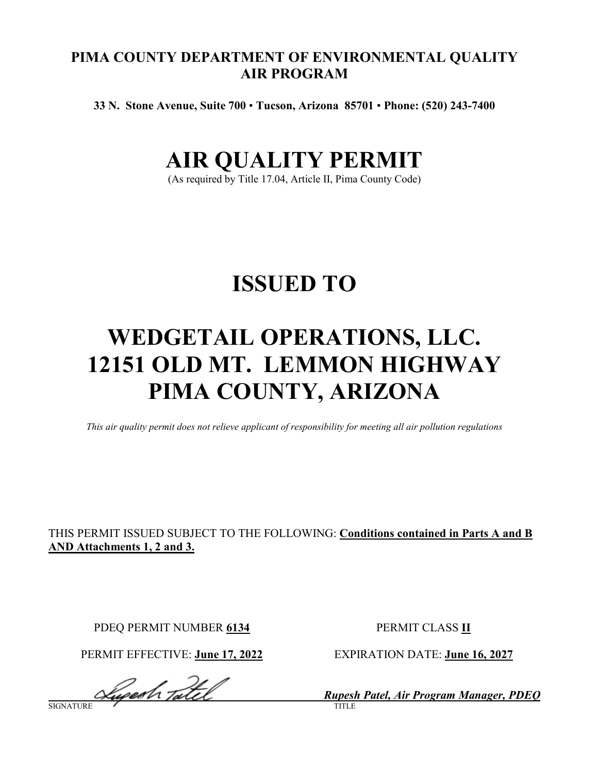# **PIMA COUNTY DEPARTMENT OF ENVIRONMENTAL QUALITY AIR PROGRAM**

**33 N. Stone Avenue, Suite 700** • **Tucson, Arizona 85701** • **Phone: (520) 243-7400**

# **AIR QUALITY PERMIT**

(As required by Title 17.04, Article II, Pima County Code)

# **ISSUED TO**

# **WEDGETAIL OPERATIONS, LLC. 12151 OLD MT. LEMMON HIGHWAY PIMA COUNTY, ARIZONA**

*This air quality permit does not relieve applicant of responsibility for meeting all air pollution regulations*

# THIS PERMIT ISSUED SUBJECT TO THE FOLLOWING: **Conditions contained in Parts A and B AND Attachments 1, 2 and 3.**

PDEQ PERMIT NUMBER 6134 PERMIT CLASS II

PERMIT EFFECTIVE: **June 17, 2022** EXPIRATION DATE: **June 16, 2027**

*<i>Rupesh Tatel* Rupesh Patel, Air Program Manager, PDEQ SIGNATURE TITLE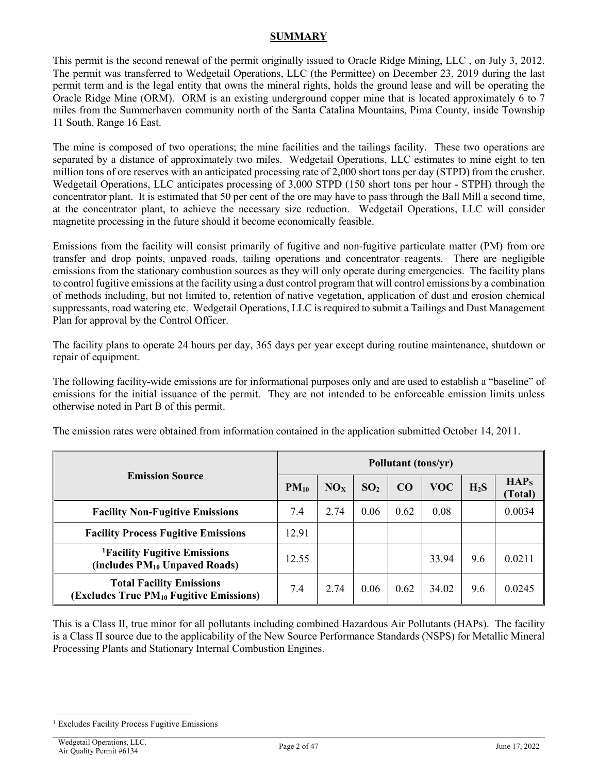# **SUMMARY**

This permit is the second renewal of the permit originally issued to Oracle Ridge Mining, LLC , on July 3, 2012. The permit was transferred to Wedgetail Operations, LLC (the Permittee) on December 23, 2019 during the last permit term and is the legal entity that owns the mineral rights, holds the ground lease and will be operating the Oracle Ridge Mine (ORM). ORM is an existing underground copper mine that is located approximately 6 to 7 miles from the Summerhaven community north of the Santa Catalina Mountains, Pima County, inside Township 11 South, Range 16 East.

The mine is composed of two operations; the mine facilities and the tailings facility. These two operations are separated by a distance of approximately two miles. Wedgetail Operations, LLC estimates to mine eight to ten million tons of ore reserves with an anticipated processing rate of 2,000 short tons per day (STPD) from the crusher. Wedgetail Operations, LLC anticipates processing of 3,000 STPD (150 short tons per hour - STPH) through the concentrator plant. It is estimated that 50 per cent of the ore may have to pass through the Ball Mill a second time, at the concentrator plant, to achieve the necessary size reduction. Wedgetail Operations, LLC will consider magnetite processing in the future should it become economically feasible.

Emissions from the facility will consist primarily of fugitive and non-fugitive particulate matter (PM) from ore transfer and drop points, unpaved roads, tailing operations and concentrator reagents. There are negligible emissions from the stationary combustion sources as they will only operate during emergencies. The facility plans to control fugitive emissions at the facility using a dust control program that will control emissions by a combination of methods including, but not limited to, retention of native vegetation, application of dust and erosion chemical suppressants, road watering etc. Wedgetail Operations, LLC is required to submit a Tailings and Dust Management Plan for approval by the Control Officer.

The facility plans to operate 24 hours per day, 365 days per year except during routine maintenance, shutdown or repair of equipment.

The following facility-wide emissions are for informational purposes only and are used to establish a "baseline" of emissions for the initial issuance of the permit. They are not intended to be enforceable emission limits unless otherwise noted in Part B of this permit.

| <b>Emission Source</b>                                                                 |       | Pollutant (tons/yr) |                 |      |            |        |                             |
|----------------------------------------------------------------------------------------|-------|---------------------|-----------------|------|------------|--------|-----------------------------|
|                                                                                        |       | NO <sub>x</sub>     | SO <sub>2</sub> | CO   | <b>VOC</b> | $H_2S$ | HAP <sub>S</sub><br>(Total) |
| <b>Facility Non-Fugitive Emissions</b>                                                 | 7.4   | 2.74                | 0.06            | 0.62 | 0.08       |        | 0.0034                      |
| <b>Facility Process Fugitive Emissions</b>                                             | 12.91 |                     |                 |      |            |        |                             |
| <sup>1</sup> Facility Fugitive Emissions<br>(includes PM <sub>10</sub> Unpaved Roads)  | 12.55 |                     |                 |      | 33.94      | 9.6    | 0.0211                      |
| <b>Total Facility Emissions</b><br>(Excludes True PM <sub>10</sub> Fugitive Emissions) | 7.4   | 2.74                | 0.06            | 0.62 | 34.02      | 9.6    | 0.0245                      |

The emission rates were obtained from information contained in the application submitted October 14, 2011.

This is a Class II, true minor for all pollutants including combined Hazardous Air Pollutants (HAPs). The facility is a Class II source due to the applicability of the New Source Performance Standards (NSPS) for Metallic Mineral Processing Plants and Stationary Internal Combustion Engines.

<span id="page-1-0"></span> $\overline{a}$ <sup>1</sup> Excludes Facility Process Fugitive Emissions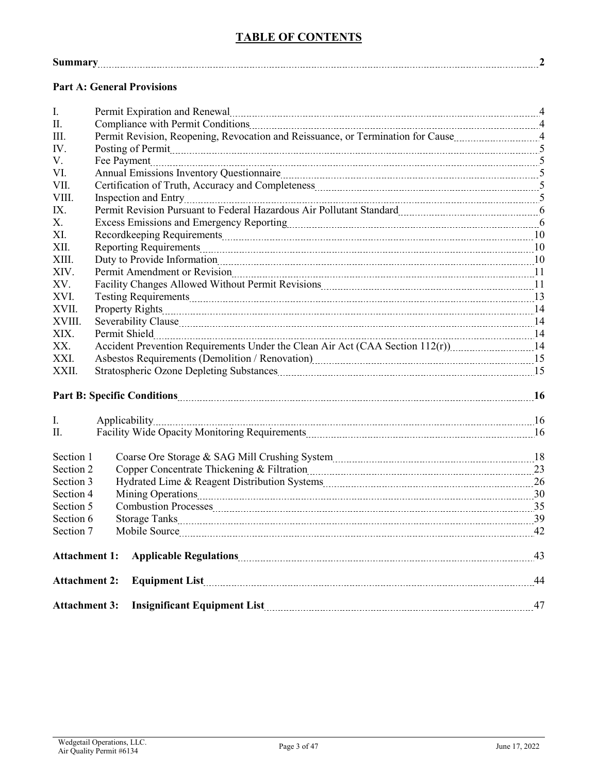# **TABLE OF CONTENTS**

|--|

# **Part A: General Provisions**

| I.                   | Permit Expiration and Renewal material and contact and the Renewal Material and Alexander and Alexander and A                                                                                                                  |    |  |  |  |
|----------------------|--------------------------------------------------------------------------------------------------------------------------------------------------------------------------------------------------------------------------------|----|--|--|--|
| $\Pi$ .              | Compliance with Permit Conditions [11] All and the Compliance with Permit Conditions [41] All and the Conditions [41] All and the Conditions [41] All and the Conditions [41] All and the Conditions [41] All and the Conditio |    |  |  |  |
| III.                 |                                                                                                                                                                                                                                |    |  |  |  |
| $IV_{-}$             | Posting of Permit <u>Communication and the communication of the state of the state of the state of</u>                                                                                                                         |    |  |  |  |
| V.                   |                                                                                                                                                                                                                                |    |  |  |  |
| VI.                  |                                                                                                                                                                                                                                |    |  |  |  |
| VII.                 |                                                                                                                                                                                                                                |    |  |  |  |
| VIII.                |                                                                                                                                                                                                                                |    |  |  |  |
| IX.                  | Permit Revision Pursuant to Federal Hazardous Air Pollutant Standard [111] [12] [12] [12] [13] [14] [15] [15]                                                                                                                  |    |  |  |  |
| $X_{\cdot}$          | Excess Emissions and Emergency Reporting manufactured and the control of the form of the Excess Emissions and Emergency Reporting manufactured and the state of the Second Lines.                                              |    |  |  |  |
| XI.                  |                                                                                                                                                                                                                                |    |  |  |  |
| XII.                 |                                                                                                                                                                                                                                |    |  |  |  |
| XIII.                |                                                                                                                                                                                                                                |    |  |  |  |
| XIV.                 |                                                                                                                                                                                                                                |    |  |  |  |
| XV.                  | Facility Changes Allowed Without Permit Revisions [11] [12] The Changes Allowed Without Permit Revisions [12] $\frac{1}{2}$                                                                                                    |    |  |  |  |
| XVI.                 |                                                                                                                                                                                                                                |    |  |  |  |
| XVII.                |                                                                                                                                                                                                                                |    |  |  |  |
| XVIII.               |                                                                                                                                                                                                                                |    |  |  |  |
| XIX.                 |                                                                                                                                                                                                                                |    |  |  |  |
| XX.                  | Accident Prevention Requirements Under the Clean Air Act (CAA Section 112(r))14                                                                                                                                                |    |  |  |  |
| XXI.                 |                                                                                                                                                                                                                                |    |  |  |  |
| XXII.                |                                                                                                                                                                                                                                |    |  |  |  |
|                      |                                                                                                                                                                                                                                |    |  |  |  |
|                      |                                                                                                                                                                                                                                |    |  |  |  |
| I.                   |                                                                                                                                                                                                                                |    |  |  |  |
| $\Pi$ .              |                                                                                                                                                                                                                                |    |  |  |  |
|                      |                                                                                                                                                                                                                                |    |  |  |  |
| Section 1            | Coarse Ore Storage & SAG Mill Crushing System manufactured and the USA 18                                                                                                                                                      |    |  |  |  |
| Section 2            | Copper Concentrate Thickening & Filtration 23                                                                                                                                                                                  |    |  |  |  |
| Section 3            |                                                                                                                                                                                                                                |    |  |  |  |
| Section 4            |                                                                                                                                                                                                                                |    |  |  |  |
| Section 5            |                                                                                                                                                                                                                                |    |  |  |  |
| Section 6            |                                                                                                                                                                                                                                |    |  |  |  |
| Section 7            |                                                                                                                                                                                                                                |    |  |  |  |
|                      |                                                                                                                                                                                                                                |    |  |  |  |
| <b>Attachment 1:</b> |                                                                                                                                                                                                                                |    |  |  |  |
| <b>Attachment 2:</b> | Equipment List 2000 Marshall and Marshall and Marshall and Marshall and Marshall and Marshall and Marshall and Marshall and Marshall and Marshall and Marshall and Marshall and Marshall and Marshall and Marshall and Marshal | 44 |  |  |  |
|                      |                                                                                                                                                                                                                                |    |  |  |  |
| <b>Attachment 3:</b> |                                                                                                                                                                                                                                |    |  |  |  |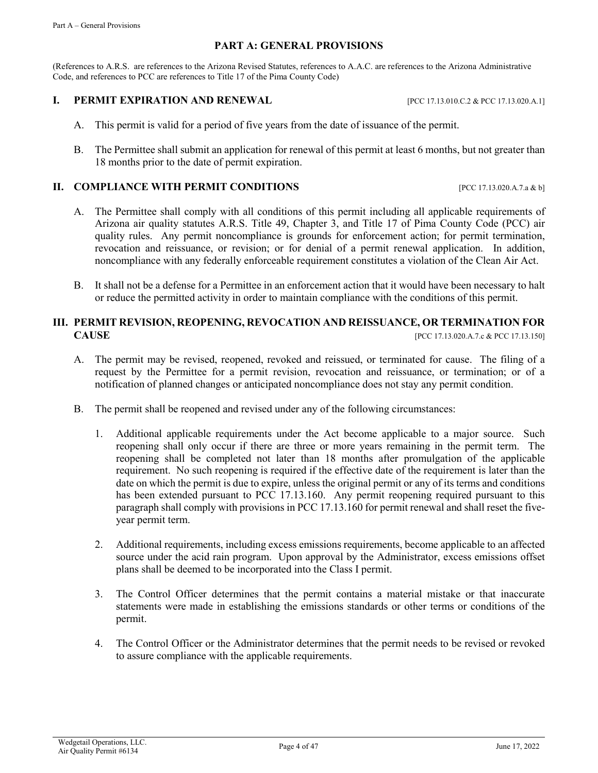### **PART A: GENERAL PROVISIONS**

(References to A.R.S. are references to the Arizona Revised Statutes, references to A.A.C. are references to the Arizona Administrative Code, and references to PCC are references to Title 17 of the Pima County Code)

### **I. PERMIT EXPIRATION AND RENEWAL** [PCC 17.13.010.C.2 & PCC 17.13.020.A.1]

- A. This permit is valid for a period of five years from the date of issuance of the permit.
- B. The Permittee shall submit an application for renewal of this permit at least 6 months, but not greater than 18 months prior to the date of permit expiration.

### **II. COMPLIANCE WITH PERMIT CONDITIONS** [PCC 17.13.020.A.7.a & b]

- A. The Permittee shall comply with all conditions of this permit including all applicable requirements of Arizona air quality statutes A.R.S. Title 49, Chapter 3, and Title 17 of Pima County Code (PCC) air quality rules. Any permit noncompliance is grounds for enforcement action; for permit termination, revocation and reissuance, or revision; or for denial of a permit renewal application. In addition, noncompliance with any federally enforceable requirement constitutes a violation of the Clean Air Act.
- B. It shall not be a defense for a Permittee in an enforcement action that it would have been necessary to halt or reduce the permitted activity in order to maintain compliance with the conditions of this permit.

# **III. PERMIT REVISION, REOPENING, REVOCATION AND REISSUANCE, OR TERMINATION FOR CAUSE** [PCC 17.13.020.A.7.c & PCC 17.13.150]

- A. The permit may be revised, reopened, revoked and reissued, or terminated for cause. The filing of a request by the Permittee for a permit revision, revocation and reissuance, or termination; or of a notification of planned changes or anticipated noncompliance does not stay any permit condition.
- B. The permit shall be reopened and revised under any of the following circumstances:
	- 1. Additional applicable requirements under the Act become applicable to a major source. Such reopening shall only occur if there are three or more years remaining in the permit term. The reopening shall be completed not later than 18 months after promulgation of the applicable requirement. No such reopening is required if the effective date of the requirement is later than the date on which the permit is due to expire, unless the original permit or any of its terms and conditions has been extended pursuant to PCC 17.13.160. Any permit reopening required pursuant to this paragraph shall comply with provisions in PCC 17.13.160 for permit renewal and shall reset the fiveyear permit term.
	- 2. Additional requirements, including excess emissions requirements, become applicable to an affected source under the acid rain program. Upon approval by the Administrator, excess emissions offset plans shall be deemed to be incorporated into the Class I permit.
	- 3. The Control Officer determines that the permit contains a material mistake or that inaccurate statements were made in establishing the emissions standards or other terms or conditions of the permit.
	- 4. The Control Officer or the Administrator determines that the permit needs to be revised or revoked to assure compliance with the applicable requirements.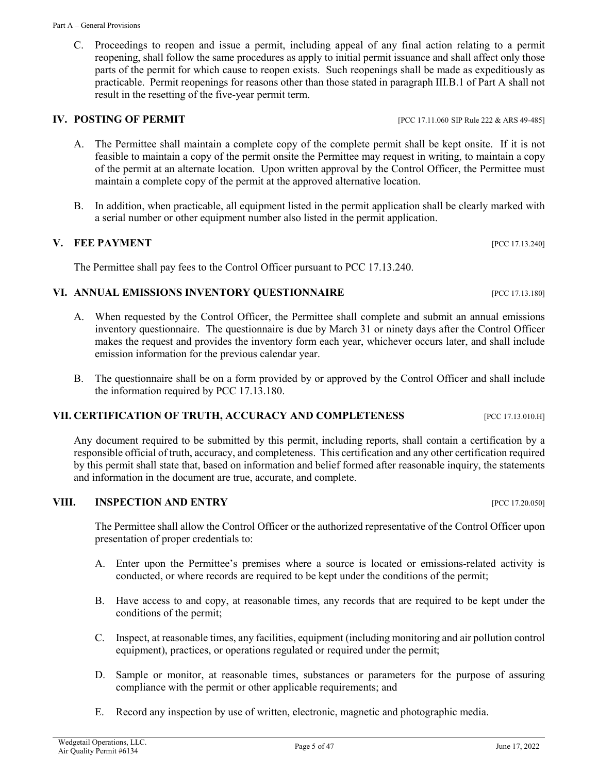C. Proceedings to reopen and issue a permit, including appeal of any final action relating to a permit reopening, shall follow the same procedures as apply to initial permit issuance and shall affect only those parts of the permit for which cause to reopen exists. Such reopenings shall be made as expeditiously as practicable. Permit reopenings for reasons other than those stated in paragraph III.B.1 of Part A shall not result in the resetting of the five-year permit term.

# **IV. POSTING OF PERMIT IV. POSTING OF PERMIT**

- A. The Permittee shall maintain a complete copy of the complete permit shall be kept onsite. If it is not feasible to maintain a copy of the permit onsite the Permittee may request in writing, to maintain a copy of the permit at an alternate location. Upon written approval by the Control Officer, the Permittee must maintain a complete copy of the permit at the approved alternative location.
- B. In addition, when practicable, all equipment listed in the permit application shall be clearly marked with a serial number or other equipment number also listed in the permit application.

# **V. FEE PAYMENT** [PCC 17.13.240]

The Permittee shall pay fees to the Control Officer pursuant to PCC 17.13.240.

# **VI. ANNUAL EMISSIONS INVENTORY QUESTIONNAIRE** PROPERTIES FOR THE RESERVE TO A 13.180]

- A. When requested by the Control Officer, the Permittee shall complete and submit an annual emissions inventory questionnaire. The questionnaire is due by March 31 or ninety days after the Control Officer makes the request and provides the inventory form each year, whichever occurs later, and shall include emission information for the previous calendar year.
- B. The questionnaire shall be on a form provided by or approved by the Control Officer and shall include the information required by PCC 17.13.180.

# **VII. CERTIFICATION OF TRUTH, ACCURACY AND COMPLETENESS** [PCC 17.13.010.H]

Any document required to be submitted by this permit, including reports, shall contain a certification by a responsible official of truth, accuracy, and completeness. This certification and any other certification required by this permit shall state that, based on information and belief formed after reasonable inquiry, the statements and information in the document are true, accurate, and complete.

# **VIII. INSPECTION AND ENTRY** PEC 17.20.050]

The Permittee shall allow the Control Officer or the authorized representative of the Control Officer upon presentation of proper credentials to:

- A. Enter upon the Permittee's premises where a source is located or emissions-related activity is conducted, or where records are required to be kept under the conditions of the permit;
- B. Have access to and copy, at reasonable times, any records that are required to be kept under the conditions of the permit;
- C. Inspect, at reasonable times, any facilities, equipment (including monitoring and air pollution control equipment), practices, or operations regulated or required under the permit;
- D. Sample or monitor, at reasonable times, substances or parameters for the purpose of assuring compliance with the permit or other applicable requirements; and
- E. Record any inspection by use of written, electronic, magnetic and photographic media.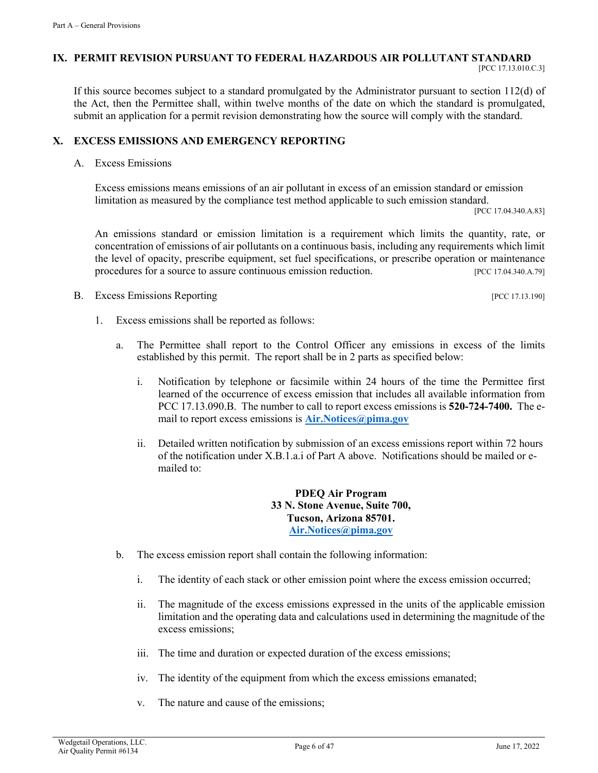## **IX. PERMIT REVISION PURSUANT TO FEDERAL HAZARDOUS AIR POLLUTANT STANDARD**

If this source becomes subject to a standard promulgated by the Administrator pursuant to section 112(d) of the Act, then the Permittee shall, within twelve months of the date on which the standard is promulgated, submit an application for a permit revision demonstrating how the source will comply with the standard.

# **X. EXCESS EMISSIONS AND EMERGENCY REPORTING**

A. Excess Emissions

Excess emissions means emissions of an air pollutant in excess of an emission standard or emission limitation as measured by the compliance test method applicable to such emission standard.<br>[PCC 17.04.340.A.83]

An emissions standard or emission limitation is a requirement which limits the quantity, rate, or concentration of emissions of air pollutants on a continuous basis, including any requirements which limit the level of opacity, prescribe equipment, set fuel specifications, or prescribe operation or maintenance procedures for a source to assure continuous emission reduction. [PCC 17.04.340.A.79]

- B. Excess Emissions Reporting [PCC 17.13.190]
	- 1. Excess emissions shall be reported as follows:
		- a. The Permittee shall report to the Control Officer any emissions in excess of the limits established by this permit. The report shall be in 2 parts as specified below:
			- i. Notification by telephone or facsimile within 24 hours of the time the Permittee first learned of the occurrence of excess emission that includes all available information from PCC 17.13.090.B. The number to call to report excess emissions is **520-724-7400.** The email to report excess emissions is **[Air.Notices@pima.gov](mailto:Air.Notices@pima.gov)**
			- ii. Detailed written notification by submission of an excess emissions report within 72 hours of the notification under X.B.1.a.i of Part A above. Notifications should be mailed or emailed to:

**PDEQ Air Program 33 N. Stone Avenue, Suite 700, Tucson, Arizona 85701. [Air.Notices@pima.gov](mailto:Air.Notices@pima.gov)**

- b. The excess emission report shall contain the following information:
	- i. The identity of each stack or other emission point where the excess emission occurred;
	- ii. The magnitude of the excess emissions expressed in the units of the applicable emission limitation and the operating data and calculations used in determining the magnitude of the excess emissions;
	- iii. The time and duration or expected duration of the excess emissions;
	- iv. The identity of the equipment from which the excess emissions emanated;
	- v. The nature and cause of the emissions;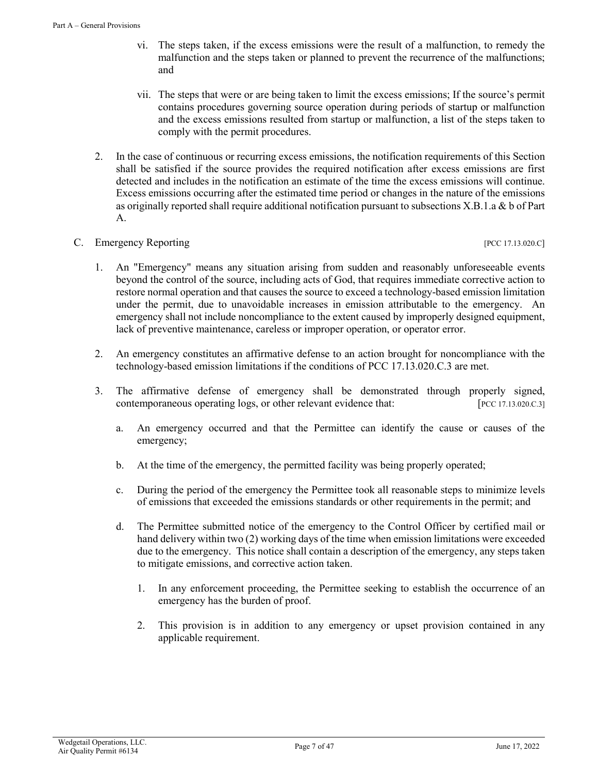- vi. The steps taken, if the excess emissions were the result of a malfunction, to remedy the malfunction and the steps taken or planned to prevent the recurrence of the malfunctions; and
- vii. The steps that were or are being taken to limit the excess emissions; If the source's permit contains procedures governing source operation during periods of startup or malfunction and the excess emissions resulted from startup or malfunction, a list of the steps taken to comply with the permit procedures.
- 2. In the case of continuous or recurring excess emissions, the notification requirements of this Section shall be satisfied if the source provides the required notification after excess emissions are first detected and includes in the notification an estimate of the time the excess emissions will continue. Excess emissions occurring after the estimated time period or changes in the nature of the emissions as originally reported shall require additional notification pursuant to subsections X.B.1.a & b of Part A.

# C. Emergency Reporting [PCC 17.13.020.C]

- 1. An "Emergency" means any situation arising from sudden and reasonably unforeseeable events beyond the control of the source, including acts of God, that requires immediate corrective action to restore normal operation and that causes the source to exceed a technology-based emission limitation under the permit, due to unavoidable increases in emission attributable to the emergency. An emergency shall not include noncompliance to the extent caused by improperly designed equipment, lack of preventive maintenance, careless or improper operation, or operator error.
- 2. An emergency constitutes an affirmative defense to an action brought for noncompliance with the technology-based emission limitations if the conditions of PCC 17.13.020.C.3 are met.
- 3. The affirmative defense of emergency shall be demonstrated through properly signed, contemporaneous operating logs, or other relevant evidence that: [PCC 17.13.020.C.3]
	- a. An emergency occurred and that the Permittee can identify the cause or causes of the emergency;
	- b. At the time of the emergency, the permitted facility was being properly operated;
	- c. During the period of the emergency the Permittee took all reasonable steps to minimize levels of emissions that exceeded the emissions standards or other requirements in the permit; and
	- d. The Permittee submitted notice of the emergency to the Control Officer by certified mail or hand delivery within two (2) working days of the time when emission limitations were exceeded due to the emergency. This notice shall contain a description of the emergency, any steps taken to mitigate emissions, and corrective action taken.
		- 1. In any enforcement proceeding, the Permittee seeking to establish the occurrence of an emergency has the burden of proof.
		- 2. This provision is in addition to any emergency or upset provision contained in any applicable requirement.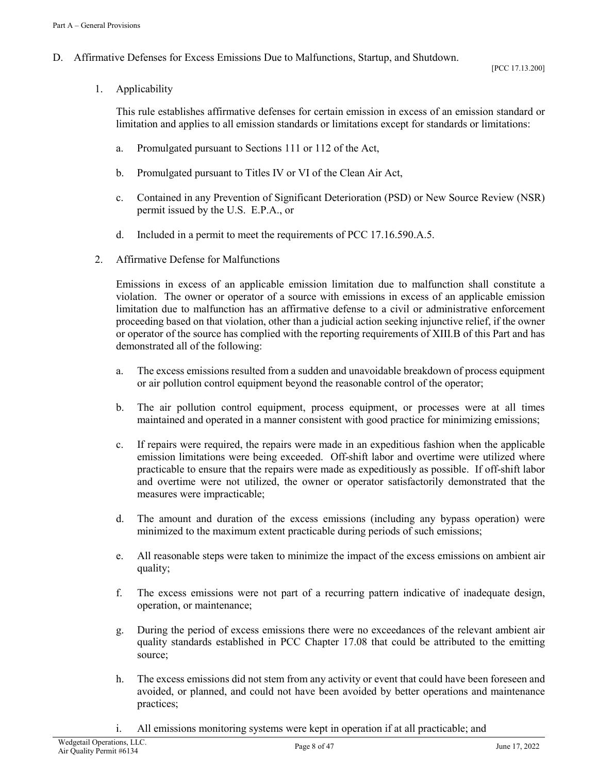# D. Affirmative Defenses for Excess Emissions Due to Malfunctions, Startup, and Shutdown.

1. Applicability

This rule establishes affirmative defenses for certain emission in excess of an emission standard or limitation and applies to all emission standards or limitations except for standards or limitations:

- a. Promulgated pursuant to Sections 111 or 112 of the Act,
- b. Promulgated pursuant to Titles IV or VI of the Clean Air Act,
- c. Contained in any Prevention of Significant Deterioration (PSD) or New Source Review (NSR) permit issued by the U.S. E.P.A., or
- d. Included in a permit to meet the requirements of PCC 17.16.590.A.5.
- 2. Affirmative Defense for Malfunctions

Emissions in excess of an applicable emission limitation due to malfunction shall constitute a violation. The owner or operator of a source with emissions in excess of an applicable emission limitation due to malfunction has an affirmative defense to a civil or administrative enforcement proceeding based on that violation, other than a judicial action seeking injunctive relief, if the owner or operator of the source has complied with the reporting requirements of XIII.B of this Part and has demonstrated all of the following:

- a. The excess emissions resulted from a sudden and unavoidable breakdown of process equipment or air pollution control equipment beyond the reasonable control of the operator;
- b. The air pollution control equipment, process equipment, or processes were at all times maintained and operated in a manner consistent with good practice for minimizing emissions;
- c. If repairs were required, the repairs were made in an expeditious fashion when the applicable emission limitations were being exceeded. Off-shift labor and overtime were utilized where practicable to ensure that the repairs were made as expeditiously as possible. If off-shift labor and overtime were not utilized, the owner or operator satisfactorily demonstrated that the measures were impracticable;
- d. The amount and duration of the excess emissions (including any bypass operation) were minimized to the maximum extent practicable during periods of such emissions;
- e. All reasonable steps were taken to minimize the impact of the excess emissions on ambient air quality;
- f. The excess emissions were not part of a recurring pattern indicative of inadequate design, operation, or maintenance;
- g. During the period of excess emissions there were no exceedances of the relevant ambient air quality standards established in PCC Chapter 17.08 that could be attributed to the emitting source;
- h. The excess emissions did not stem from any activity or event that could have been foreseen and avoided, or planned, and could not have been avoided by better operations and maintenance practices;
- i. All emissions monitoring systems were kept in operation if at all practicable; and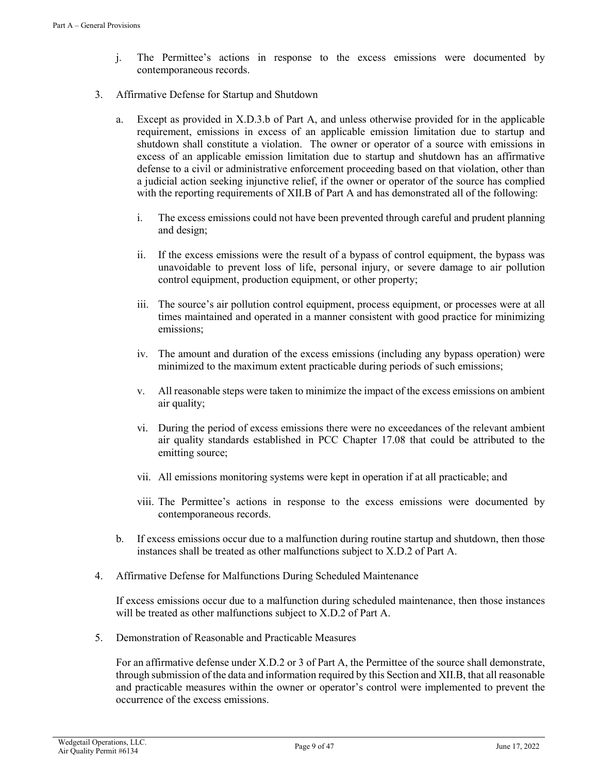- j. The Permittee's actions in response to the excess emissions were documented by contemporaneous records.
- 3. Affirmative Defense for Startup and Shutdown
	- a. Except as provided in X.D.3.b of Part A, and unless otherwise provided for in the applicable requirement, emissions in excess of an applicable emission limitation due to startup and shutdown shall constitute a violation. The owner or operator of a source with emissions in excess of an applicable emission limitation due to startup and shutdown has an affirmative defense to a civil or administrative enforcement proceeding based on that violation, other than a judicial action seeking injunctive relief, if the owner or operator of the source has complied with the reporting requirements of XII.B of Part A and has demonstrated all of the following:
		- i. The excess emissions could not have been prevented through careful and prudent planning and design;
		- ii. If the excess emissions were the result of a bypass of control equipment, the bypass was unavoidable to prevent loss of life, personal injury, or severe damage to air pollution control equipment, production equipment, or other property;
		- iii. The source's air pollution control equipment, process equipment, or processes were at all times maintained and operated in a manner consistent with good practice for minimizing emissions;
		- iv. The amount and duration of the excess emissions (including any bypass operation) were minimized to the maximum extent practicable during periods of such emissions;
		- v. All reasonable steps were taken to minimize the impact of the excess emissions on ambient air quality;
		- vi. During the period of excess emissions there were no exceedances of the relevant ambient air quality standards established in PCC Chapter 17.08 that could be attributed to the emitting source;
		- vii. All emissions monitoring systems were kept in operation if at all practicable; and
		- viii. The Permittee's actions in response to the excess emissions were documented by contemporaneous records.
	- b. If excess emissions occur due to a malfunction during routine startup and shutdown, then those instances shall be treated as other malfunctions subject to X.D.2 of Part A.
- 4. Affirmative Defense for Malfunctions During Scheduled Maintenance

If excess emissions occur due to a malfunction during scheduled maintenance, then those instances will be treated as other malfunctions subject to X.D.2 of Part A.

5. Demonstration of Reasonable and Practicable Measures

For an affirmative defense under X.D.2 or 3 of Part A, the Permittee of the source shall demonstrate, through submission of the data and information required by this Section and XII.B, that all reasonable and practicable measures within the owner or operator's control were implemented to prevent the occurrence of the excess emissions.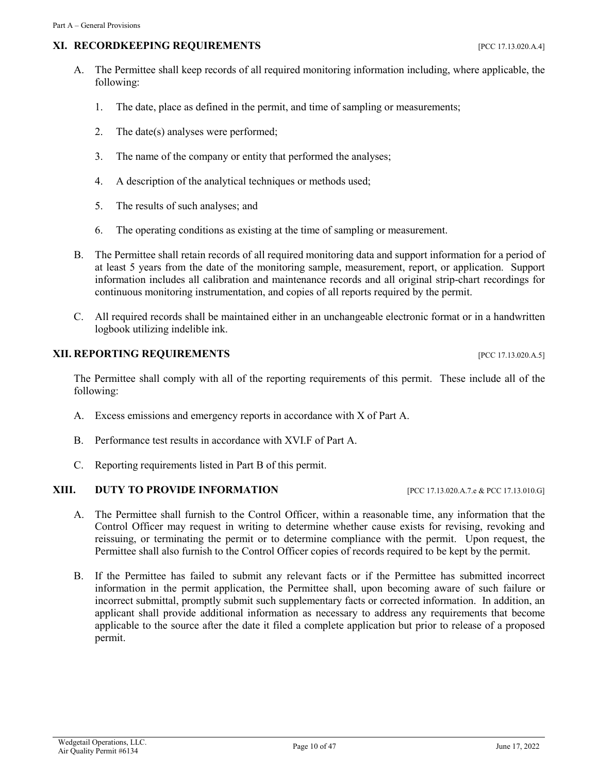# **XI. RECORDKEEPING REQUIREMENTS** [PCC 17.13.020.A.4]

- A. The Permittee shall keep records of all required monitoring information including, where applicable, the following:
	- 1. The date, place as defined in the permit, and time of sampling or measurements;
	- 2. The date(s) analyses were performed;
	- 3. The name of the company or entity that performed the analyses;
	- 4. A description of the analytical techniques or methods used;
	- 5. The results of such analyses; and
	- 6. The operating conditions as existing at the time of sampling or measurement.
- B. The Permittee shall retain records of all required monitoring data and support information for a period of at least 5 years from the date of the monitoring sample, measurement, report, or application. Support information includes all calibration and maintenance records and all original strip-chart recordings for continuous monitoring instrumentation, and copies of all reports required by the permit.
- C. All required records shall be maintained either in an unchangeable electronic format or in a handwritten logbook utilizing indelible ink.

# **XII. REPORTING REQUIREMENTS** [PCC 17.13.020.A.5]

The Permittee shall comply with all of the reporting requirements of this permit. These include all of the following:

- A. Excess emissions and emergency reports in accordance with X of Part A.
- B. Performance test results in accordance with XVI.F of Part A.
- C. Reporting requirements listed in Part B of this permit.

### **XIII. DUTY TO PROVIDE INFORMATION** [PCC 17.13.020.A.7.e & PCC 17.13.010.G]

- A. The Permittee shall furnish to the Control Officer, within a reasonable time, any information that the Control Officer may request in writing to determine whether cause exists for revising, revoking and reissuing, or terminating the permit or to determine compliance with the permit. Upon request, the Permittee shall also furnish to the Control Officer copies of records required to be kept by the permit.
- B. If the Permittee has failed to submit any relevant facts or if the Permittee has submitted incorrect information in the permit application, the Permittee shall, upon becoming aware of such failure or incorrect submittal, promptly submit such supplementary facts or corrected information. In addition, an applicant shall provide additional information as necessary to address any requirements that become applicable to the source after the date it filed a complete application but prior to release of a proposed permit.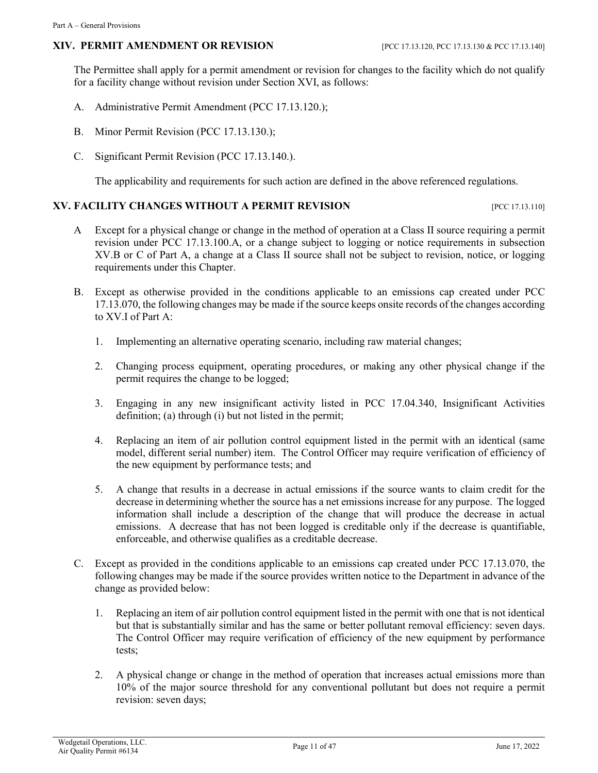# **XIV. PERMIT AMENDMENT OR REVISION** [PCC 17.13.120, PCC 17.13.130 & PCC 17.13.140]

The Permittee shall apply for a permit amendment or revision for changes to the facility which do not qualify for a facility change without revision under Section XVI, as follows:

- A. Administrative Permit Amendment (PCC 17.13.120.);
- B. Minor Permit Revision (PCC 17.13.130.);
- C. Significant Permit Revision (PCC 17.13.140.).

The applicability and requirements for such action are defined in the above referenced regulations.

### **XV. FACILITY CHANGES WITHOUT A PERMIT REVISION FOR A PARTICULAR PERMIT REVISION**

- A Except for a physical change or change in the method of operation at a Class II source requiring a permit revision under PCC 17.13.100.A, or a change subject to logging or notice requirements in subsection XV.B or C of Part A, a change at a Class II source shall not be subject to revision, notice, or logging requirements under this Chapter.
- B. Except as otherwise provided in the conditions applicable to an emissions cap created under PCC 17.13.070, the following changes may be made if the source keeps onsite records of the changes according to XV.I of Part A:
	- 1. Implementing an alternative operating scenario, including raw material changes;
	- 2. Changing process equipment, operating procedures, or making any other physical change if the permit requires the change to be logged;
	- 3. Engaging in any new insignificant activity listed in PCC 17.04.340, Insignificant Activities definition; (a) through (i) but not listed in the permit;
	- 4. Replacing an item of air pollution control equipment listed in the permit with an identical (same model, different serial number) item. The Control Officer may require verification of efficiency of the new equipment by performance tests; and
	- 5. A change that results in a decrease in actual emissions if the source wants to claim credit for the decrease in determining whether the source has a net emissions increase for any purpose. The logged information shall include a description of the change that will produce the decrease in actual emissions. A decrease that has not been logged is creditable only if the decrease is quantifiable, enforceable, and otherwise qualifies as a creditable decrease.
- C. Except as provided in the conditions applicable to an emissions cap created under PCC 17.13.070, the following changes may be made if the source provides written notice to the Department in advance of the change as provided below:
	- 1. Replacing an item of air pollution control equipment listed in the permit with one that is not identical but that is substantially similar and has the same or better pollutant removal efficiency: seven days. The Control Officer may require verification of efficiency of the new equipment by performance tests;
	- 2. A physical change or change in the method of operation that increases actual emissions more than 10% of the major source threshold for any conventional pollutant but does not require a permit revision: seven days;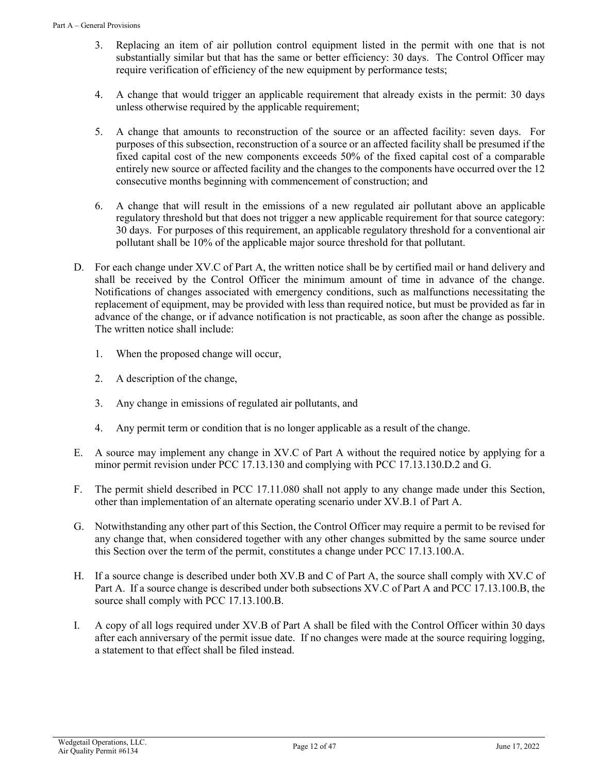- 3. Replacing an item of air pollution control equipment listed in the permit with one that is not substantially similar but that has the same or better efficiency: 30 days. The Control Officer may require verification of efficiency of the new equipment by performance tests;
- 4. A change that would trigger an applicable requirement that already exists in the permit: 30 days unless otherwise required by the applicable requirement;
- 5. A change that amounts to reconstruction of the source or an affected facility: seven days. For purposes of this subsection, reconstruction of a source or an affected facility shall be presumed if the fixed capital cost of the new components exceeds 50% of the fixed capital cost of a comparable entirely new source or affected facility and the changes to the components have occurred over the 12 consecutive months beginning with commencement of construction; and
- 6. A change that will result in the emissions of a new regulated air pollutant above an applicable regulatory threshold but that does not trigger a new applicable requirement for that source category: 30 days. For purposes of this requirement, an applicable regulatory threshold for a conventional air pollutant shall be 10% of the applicable major source threshold for that pollutant.
- D. For each change under XV.C of Part A, the written notice shall be by certified mail or hand delivery and shall be received by the Control Officer the minimum amount of time in advance of the change. Notifications of changes associated with emergency conditions, such as malfunctions necessitating the replacement of equipment, may be provided with less than required notice, but must be provided as far in advance of the change, or if advance notification is not practicable, as soon after the change as possible. The written notice shall include:
	- 1. When the proposed change will occur,
	- 2. A description of the change,
	- 3. Any change in emissions of regulated air pollutants, and
	- 4. Any permit term or condition that is no longer applicable as a result of the change.
- E. A source may implement any change in XV.C of Part A without the required notice by applying for a minor permit revision under PCC 17.13.130 and complying with PCC 17.13.130.D.2 and G.
- F. The permit shield described in PCC 17.11.080 shall not apply to any change made under this Section, other than implementation of an alternate operating scenario under XV.B.1 of Part A.
- G. Notwithstanding any other part of this Section, the Control Officer may require a permit to be revised for any change that, when considered together with any other changes submitted by the same source under this Section over the term of the permit, constitutes a change under PCC 17.13.100.A.
- H. If a source change is described under both XV.B and C of Part A, the source shall comply with XV.C of Part A. If a source change is described under both subsections XV.C of Part A and PCC 17.13.100.B, the source shall comply with PCC 17.13.100.B.
- I. A copy of all logs required under XV.B of Part A shall be filed with the Control Officer within 30 days after each anniversary of the permit issue date. If no changes were made at the source requiring logging, a statement to that effect shall be filed instead.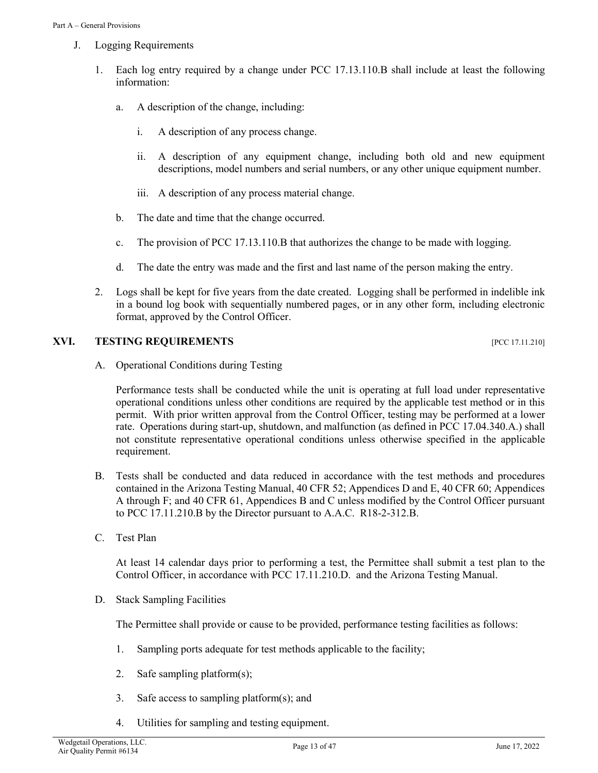- J. Logging Requirements
	- 1. Each log entry required by a change under PCC 17.13.110.B shall include at least the following information:
		- a. A description of the change, including:
			- i. A description of any process change.
			- ii. A description of any equipment change, including both old and new equipment descriptions, model numbers and serial numbers, or any other unique equipment number.
			- iii. A description of any process material change.
		- b. The date and time that the change occurred.
		- c. The provision of PCC 17.13.110.B that authorizes the change to be made with logging.
		- d. The date the entry was made and the first and last name of the person making the entry.
	- 2. Logs shall be kept for five years from the date created. Logging shall be performed in indelible ink in a bound log book with sequentially numbered pages, or in any other form, including electronic format, approved by the Control Officer.

### **XVI. TESTING REQUIREMENTS PEC 17.11.210]**

A. Operational Conditions during Testing

Performance tests shall be conducted while the unit is operating at full load under representative operational conditions unless other conditions are required by the applicable test method or in this permit. With prior written approval from the Control Officer, testing may be performed at a lower rate. Operations during start-up, shutdown, and malfunction (as defined in PCC 17.04.340.A.) shall not constitute representative operational conditions unless otherwise specified in the applicable requirement.

- B. Tests shall be conducted and data reduced in accordance with the test methods and procedures contained in the Arizona Testing Manual, 40 CFR 52; Appendices D and E, 40 CFR 60; Appendices A through F; and 40 CFR 61, Appendices B and C unless modified by the Control Officer pursuant to PCC 17.11.210.B by the Director pursuant to A.A.C. R18-2-312.B.
- C. Test Plan

At least 14 calendar days prior to performing a test, the Permittee shall submit a test plan to the Control Officer, in accordance with PCC 17.11.210.D. and the Arizona Testing Manual.

D. Stack Sampling Facilities

The Permittee shall provide or cause to be provided, performance testing facilities as follows:

- 1. Sampling ports adequate for test methods applicable to the facility;
- 2. Safe sampling platform(s);
- 3. Safe access to sampling platform(s); and
- 4. Utilities for sampling and testing equipment.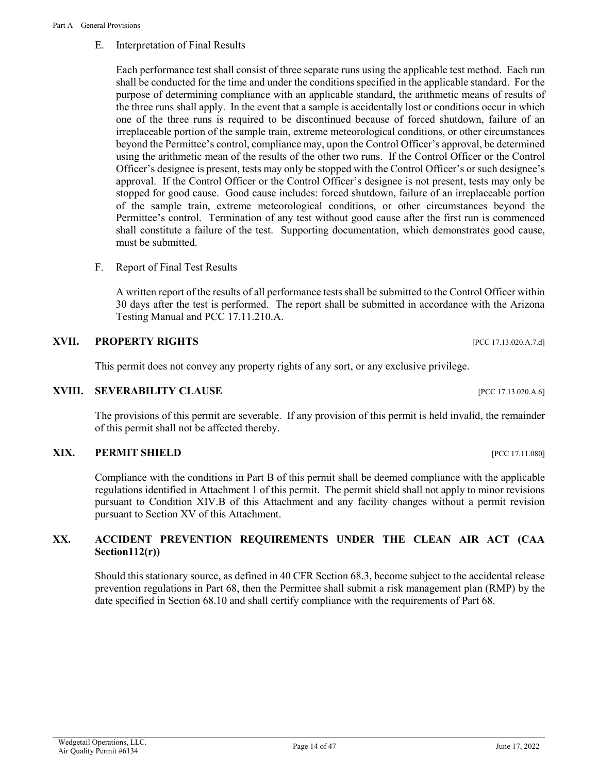### E. Interpretation of Final Results

Each performance test shall consist of three separate runs using the applicable test method. Each run shall be conducted for the time and under the conditions specified in the applicable standard. For the purpose of determining compliance with an applicable standard, the arithmetic means of results of the three runs shall apply. In the event that a sample is accidentally lost or conditions occur in which one of the three runs is required to be discontinued because of forced shutdown, failure of an irreplaceable portion of the sample train, extreme meteorological conditions, or other circumstances beyond the Permittee's control, compliance may, upon the Control Officer's approval, be determined using the arithmetic mean of the results of the other two runs. If the Control Officer or the Control Officer's designee is present, tests may only be stopped with the Control Officer's or such designee's approval. If the Control Officer or the Control Officer's designee is not present, tests may only be stopped for good cause. Good cause includes: forced shutdown, failure of an irreplaceable portion of the sample train, extreme meteorological conditions, or other circumstances beyond the Permittee's control. Termination of any test without good cause after the first run is commenced shall constitute a failure of the test. Supporting documentation, which demonstrates good cause, must be submitted.

F. Report of Final Test Results

A written report of the results of all performance tests shall be submitted to the Control Officer within 30 days after the test is performed. The report shall be submitted in accordance with the Arizona Testing Manual and PCC 17.11.210.A.

### **XVII. PROPERTY RIGHTS** *PCC 17.13.020.A.7.d*

This permit does not convey any property rights of any sort, or any exclusive privilege.

### **XVIII. SEVERABILITY CLAUSE INCLUSE EXAMPLE 17.13.020.A.6**]

The provisions of this permit are severable. If any provision of this permit is held invalid, the remainder of this permit shall not be affected thereby.

### **XIX. PERMIT SHIELD [PCC 17.11.080]**

Compliance with the conditions in Part B of this permit shall be deemed compliance with the applicable regulations identified in Attachment 1 of this permit. The permit shield shall not apply to minor revisions pursuant to Condition XIV.B of this Attachment and any facility changes without a permit revision pursuant to Section XV of this Attachment.

# **XX. ACCIDENT PREVENTION REQUIREMENTS UNDER THE CLEAN AIR ACT (CAA Section112(r))**

Should this stationary source, as defined in 40 CFR Section 68.3, become subject to the accidental release prevention regulations in Part 68, then the Permittee shall submit a risk management plan (RMP) by the date specified in Section 68.10 and shall certify compliance with the requirements of Part 68.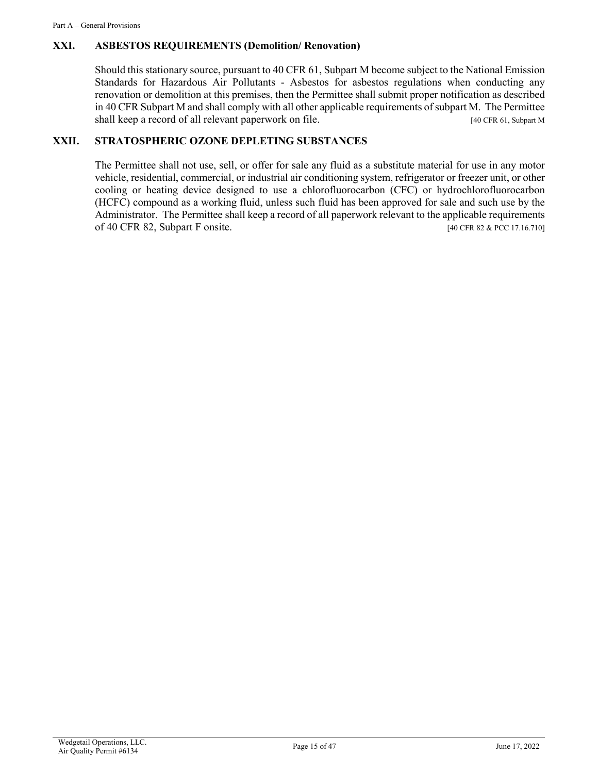# **XXI. ASBESTOS REQUIREMENTS (Demolition/ Renovation)**

Should this stationary source, pursuant to 40 CFR 61, Subpart M become subject to the National Emission Standards for Hazardous Air Pollutants - Asbestos for asbestos regulations when conducting any renovation or demolition at this premises, then the Permittee shall submit proper notification as described in 40 CFR Subpart M and shall comply with all other applicable requirements of subpart M. The Permittee shall keep a record of all relevant paperwork on file. [40 CFR 61, Subpart M]

# **XXII. STRATOSPHERIC OZONE DEPLETING SUBSTANCES**

The Permittee shall not use, sell, or offer for sale any fluid as a substitute material for use in any motor vehicle, residential, commercial, or industrial air conditioning system, refrigerator or freezer unit, or other cooling or heating device designed to use a chlorofluorocarbon (CFC) or hydrochlorofluorocarbon (HCFC) compound as a working fluid, unless such fluid has been approved for sale and such use by the Administrator. The Permittee shall keep a record of all paperwork relevant to the applicable requirements of 40 CFR 82, Subpart F onsite. [40 CFR 82 & PCC 17.16.710]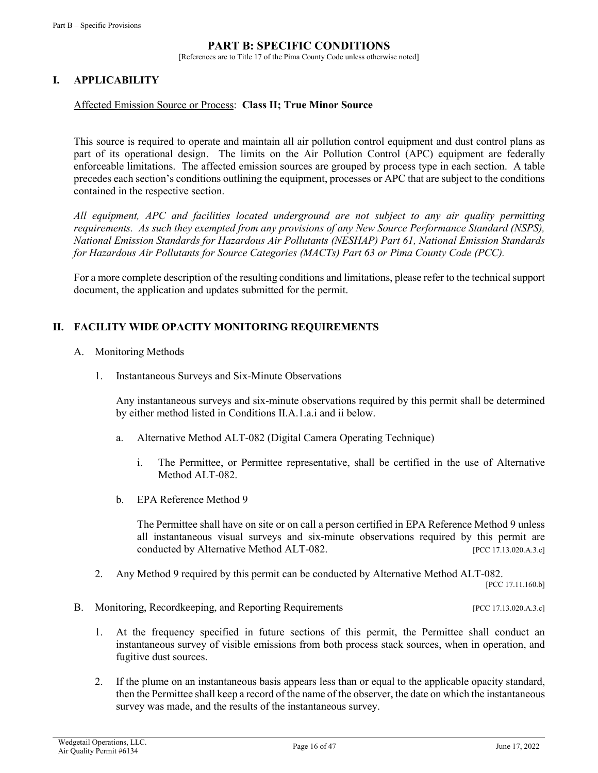# **PART B: SPECIFIC CONDITIONS**

[References are to Title 17 of the Pima County Code unless otherwise noted]

# **I. APPLICABILITY**

### Affected Emission Source or Process: **Class II; True Minor Source**

This source is required to operate and maintain all air pollution control equipment and dust control plans as part of its operational design. The limits on the Air Pollution Control (APC) equipment are federally enforceable limitations. The affected emission sources are grouped by process type in each section. A table precedes each section's conditions outlining the equipment, processes or APC that are subject to the conditions contained in the respective section.

*All equipment, APC and facilities located underground are not subject to any air quality permitting requirements. As such they exempted from any provisions of any New Source Performance Standard (NSPS), National Emission Standards for Hazardous Air Pollutants (NESHAP) Part 61, National Emission Standards for Hazardous Air Pollutants for Source Categories (MACTs) Part 63 or Pima County Code (PCC).* 

For a more complete description of the resulting conditions and limitations, please refer to the technical support document, the application and updates submitted for the permit.

### **II. FACILITY WIDE OPACITY MONITORING REQUIREMENTS**

- A. Monitoring Methods
	- 1. Instantaneous Surveys and Six-Minute Observations

Any instantaneous surveys and six-minute observations required by this permit shall be determined by either method listed in Conditions II.A.1.a.i and ii below.

- a. Alternative Method ALT-082 (Digital Camera Operating Technique)
	- i. The Permittee, or Permittee representative, shall be certified in the use of Alternative Method ALT-082.
- b. EPA Reference Method 9

The Permittee shall have on site or on call a person certified in EPA Reference Method 9 unless all instantaneous visual surveys and six-minute observations required by this permit are conducted by Alternative Method ALT-082. [PCC 17.13.020.A.3.c]

2. Any Method 9 required by this permit can be conducted by Alternative Method ALT-082.

[PCC 17.11.160.b]

- B. Monitoring, Recordkeeping, and Reporting Requirements [PCC 17.13.020.A.3.c]
	- 1. At the frequency specified in future sections of this permit, the Permittee shall conduct an instantaneous survey of visible emissions from both process stack sources, when in operation, and fugitive dust sources.
	- 2. If the plume on an instantaneous basis appears less than or equal to the applicable opacity standard, then the Permittee shall keep a record of the name of the observer, the date on which the instantaneous survey was made, and the results of the instantaneous survey.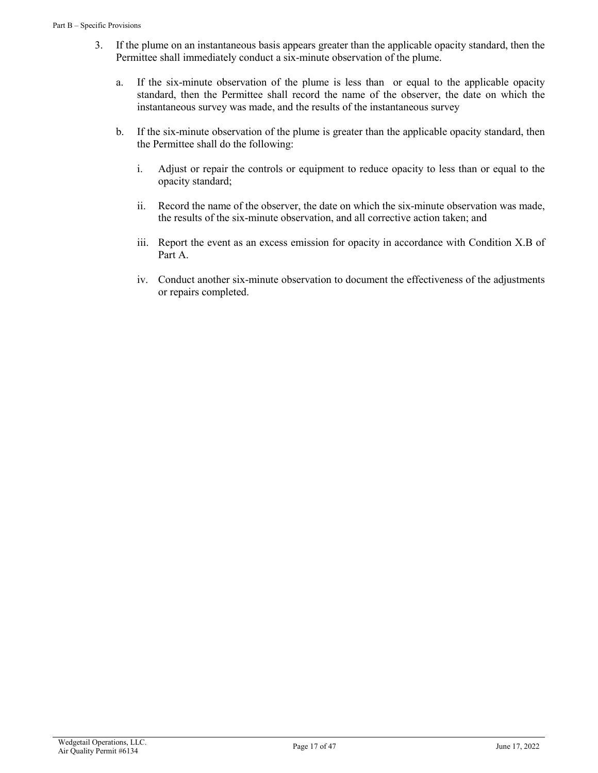- 3. If the plume on an instantaneous basis appears greater than the applicable opacity standard, then the Permittee shall immediately conduct a six-minute observation of the plume.
	- a. If the six-minute observation of the plume is less than or equal to the applicable opacity standard, then the Permittee shall record the name of the observer, the date on which the instantaneous survey was made, and the results of the instantaneous survey
	- b. If the six-minute observation of the plume is greater than the applicable opacity standard, then the Permittee shall do the following:
		- i. Adjust or repair the controls or equipment to reduce opacity to less than or equal to the opacity standard;
		- ii. Record the name of the observer, the date on which the six-minute observation was made, the results of the six-minute observation, and all corrective action taken; and
		- iii. Report the event as an excess emission for opacity in accordance with Condition X.B of Part A.
		- iv. Conduct another six-minute observation to document the effectiveness of the adjustments or repairs completed.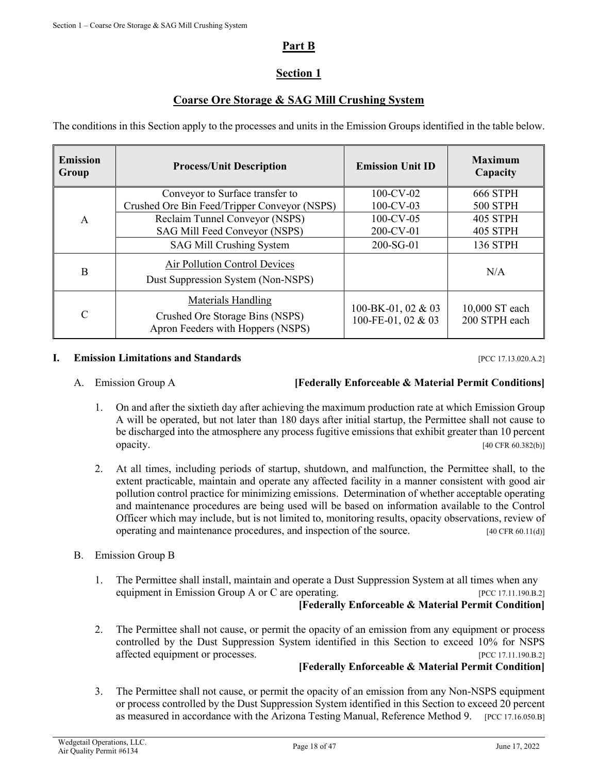# **Part B**

# **Section 1**

# **Coarse Ore Storage & SAG Mill Crushing System**

The conditions in this Section apply to the processes and units in the Emission Groups identified in the table below.

| <b>Emission</b><br>Group | <b>Process/Unit Description</b>                                      | <b>Emission Unit ID</b> | <b>Maximum</b><br>Capacity |  |
|--------------------------|----------------------------------------------------------------------|-------------------------|----------------------------|--|
|                          | Conveyor to Surface transfer to                                      | $100$ -CV-02            | <b>666 STPH</b>            |  |
|                          | Crushed Ore Bin Feed/Tripper Conveyor (NSPS)                         | $100$ -CV-03            | <b>500 STPH</b>            |  |
| A                        | Reclaim Tunnel Conveyor (NSPS)                                       | $100$ -CV-05            | <b>405 STPH</b>            |  |
|                          | SAG Mill Feed Conveyor (NSPS)                                        | 200-CV-01               | <b>405 STPH</b>            |  |
|                          | SAG Mill Crushing System                                             | 200-SG-01               | <b>136 STPH</b>            |  |
|                          | Air Pollution Control Devices                                        |                         | N/A                        |  |
| B                        | Dust Suppression System (Non-NSPS)                                   |                         |                            |  |
|                          | Materials Handling                                                   | 100-BK-01, 02 & 03      | 10,000 ST each             |  |
| $\mathcal{C}$            | Crushed Ore Storage Bins (NSPS)<br>Apron Feeders with Hoppers (NSPS) | 100-FE-01, 02 & 03      | 200 STPH each              |  |

### **I. Emission Limitations and Standards Example 20.43 Example 20.43 EXAMPLE 20.44 EXAMPLE 20.44 EXAMPLE 20.44 EXAMPLE 20.44 EXAMPLE 20.44 EXAMPLE 20.44 EXAMPLE 20.44 EXAMPLE 20.44 EXAMPLE 20.44 EXA**

A. Emission Group A **[Federally Enforceable & Material Permit Conditions]**

- 1. On and after the sixtieth day after achieving the maximum production rate at which Emission Group A will be operated, but not later than 180 days after initial startup, the Permittee shall not cause to be discharged into the atmosphere any process fugitive emissions that exhibit greater than 10 percent **opacity.** [40 CFR 60.382(b)]
- 2. At all times, including periods of startup, shutdown, and malfunction, the Permittee shall, to the extent practicable, maintain and operate any affected facility in a manner consistent with good air pollution control practice for minimizing emissions. Determination of whether acceptable operating and maintenance procedures are being used will be based on information available to the Control Officer which may include, but is not limited to, monitoring results, opacity observations, review of operating and maintenance procedures, and inspection of the source. [40 CFR 60.11(d)]
- B. Emission Group B
	- 1. The Permittee shall install, maintain and operate a Dust Suppression System at all times when any equipment in Emission Group A or C are operating. [PCC 17.11.190.B.2] **[Federally Enforceable & Material Permit Condition]**
	- 2. The Permittee shall not cause, or permit the opacity of an emission from any equipment or process controlled by the Dust Suppression System identified in this Section to exceed 10% for NSPS affected equipment or processes. [PCC 17.11.190.B.2]

# **[Federally Enforceable & Material Permit Condition]**

3. The Permittee shall not cause, or permit the opacity of an emission from any Non-NSPS equipment or process controlled by the Dust Suppression System identified in this Section to exceed 20 percent as measured in accordance with the Arizona Testing Manual, Reference Method 9. [PCC 17.16.050.B]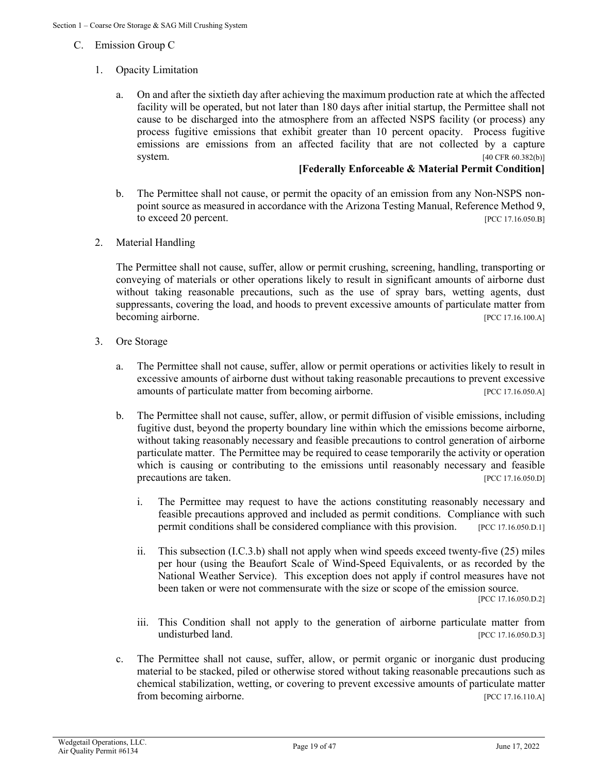- C. Emission Group C
	- 1. Opacity Limitation
		- a. On and after the sixtieth day after achieving the maximum production rate at which the affected facility will be operated, but not later than 180 days after initial startup, the Permittee shall not cause to be discharged into the atmosphere from an affected NSPS facility (or process) any process fugitive emissions that exhibit greater than 10 percent opacity. Process fugitive emissions are emissions from an affected facility that are not collected by a capture system. [40 CFR 60.382(b)]

### **[Federally Enforceable & Material Permit Condition]**

- b. The Permittee shall not cause, or permit the opacity of an emission from any Non-NSPS nonpoint source as measured in accordance with the Arizona Testing Manual, Reference Method 9, to exceed 20 percent. [PCC 17.16.050.B]
- 2. Material Handling

The Permittee shall not cause, suffer, allow or permit crushing, screening, handling, transporting or conveying of materials or other operations likely to result in significant amounts of airborne dust without taking reasonable precautions, such as the use of spray bars, wetting agents, dust suppressants, covering the load, and hoods to prevent excessive amounts of particulate matter from becoming airborne. [PCC 17.16.100.A]

- 3. Ore Storage
	- a. The Permittee shall not cause, suffer, allow or permit operations or activities likely to result in excessive amounts of airborne dust without taking reasonable precautions to prevent excessive amounts of particulate matter from becoming airborne. [PCC 17.16.050.A]
	- b. The Permittee shall not cause, suffer, allow, or permit diffusion of visible emissions, including fugitive dust, beyond the property boundary line within which the emissions become airborne, without taking reasonably necessary and feasible precautions to control generation of airborne particulate matter. The Permittee may be required to cease temporarily the activity or operation which is causing or contributing to the emissions until reasonably necessary and feasible precautions are taken. [PCC 17.16.050.D]
		- i. The Permittee may request to have the actions constituting reasonably necessary and feasible precautions approved and included as permit conditions. Compliance with such permit conditions shall be considered compliance with this provision. [PCC 17.16.050.D.1]
		- ii. This subsection (I.C.3.b) shall not apply when wind speeds exceed twenty-five (25) miles per hour (using the Beaufort Scale of Wind-Speed Equivalents, or as recorded by the National Weather Service). This exception does not apply if control measures have not been taken or were not commensurate with the size or scope of the emission source.

[PCC 17.16.050.D.2]

- iii. This Condition shall not apply to the generation of airborne particulate matter from undisturbed land. [PCC 17.16.050.D.3]
- c. The Permittee shall not cause, suffer, allow, or permit organic or inorganic dust producing material to be stacked, piled or otherwise stored without taking reasonable precautions such as chemical stabilization, wetting, or covering to prevent excessive amounts of particulate matter from becoming airborne. [PCC 17.16.110.A]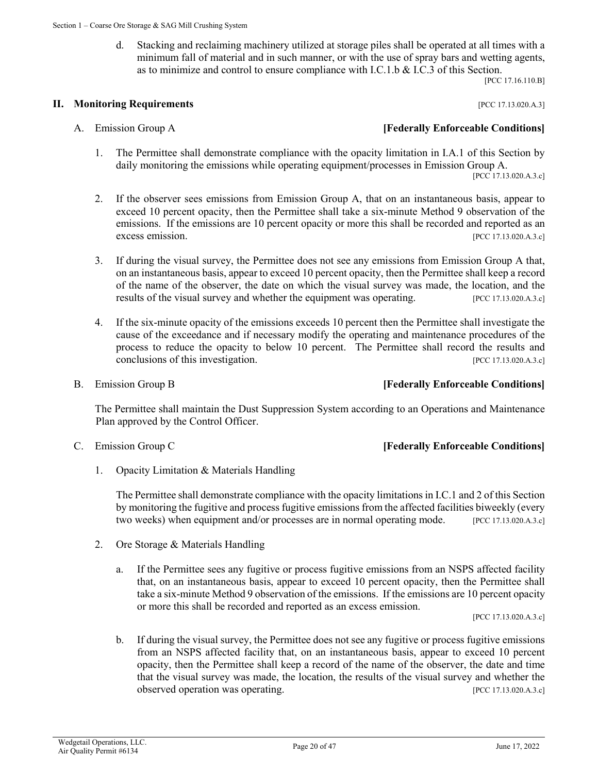d. Stacking and reclaiming machinery utilized at storage piles shall be operated at all times with a minimum fall of material and in such manner, or with the use of spray bars and wetting agents, as to minimize and control to ensure compliance with I.C.1.b & I.C.3 of this Section.

[PCC 17.16.110.B]

### **II. Monitoring Requirements II. All and Sequirements** *PCC 17.13.020.A.3***]**

- - 1. The Permittee shall demonstrate compliance with the opacity limitation in I.A.1 of this Section by daily monitoring the emissions while operating equipment/processes in Emission Group A. [PCC 17.13.020.A.3.c]
	- 2. If the observer sees emissions from Emission Group A, that on an instantaneous basis, appear to exceed 10 percent opacity, then the Permittee shall take a six-minute Method 9 observation of the emissions. If the emissions are 10 percent opacity or more this shall be recorded and reported as an excess emission. [PCC 17.13.020.A.3.c]
	- 3. If during the visual survey, the Permittee does not see any emissions from Emission Group A that, on an instantaneous basis, appear to exceed 10 percent opacity, then the Permittee shall keep a record of the name of the observer, the date on which the visual survey was made, the location, and the results of the visual survey and whether the equipment was operating. [PCC 17.13.020.A.3.c]
	- 4. If the six-minute opacity of the emissions exceeds 10 percent then the Permittee shall investigate the cause of the exceedance and if necessary modify the operating and maintenance procedures of the process to reduce the opacity to below 10 percent. The Permittee shall record the results and conclusions of this investigation. [PCC 17.13.020.A.3.c]
- 

### B. Emission Group B **[Federally Enforceable Conditions]**

The Permittee shall maintain the Dust Suppression System according to an Operations and Maintenance Plan approved by the Control Officer.

### C. Emission Group C **[Federally Enforceable Conditions]**

1. Opacity Limitation & Materials Handling

The Permittee shall demonstrate compliance with the opacity limitations in I.C.1 and 2 of this Section by monitoring the fugitive and process fugitive emissions from the affected facilities biweekly (every two weeks) when equipment and/or processes are in normal operating mode. [PCC 17.13.020.A.3.c]

- 2. Ore Storage & Materials Handling
	- a. If the Permittee sees any fugitive or process fugitive emissions from an NSPS affected facility that, on an instantaneous basis, appear to exceed 10 percent opacity, then the Permittee shall take a six-minute Method 9 observation of the emissions. If the emissions are 10 percent opacity or more this shall be recorded and reported as an excess emission.

[PCC 17.13.020.A.3.c]

b. If during the visual survey, the Permittee does not see any fugitive or process fugitive emissions from an NSPS affected facility that, on an instantaneous basis, appear to exceed 10 percent opacity, then the Permittee shall keep a record of the name of the observer, the date and time that the visual survey was made, the location, the results of the visual survey and whether the observed operation was operating. [PCC 17.13.020.A.3.c]

# A. Emission Group A **[Federally Enforceable Conditions]**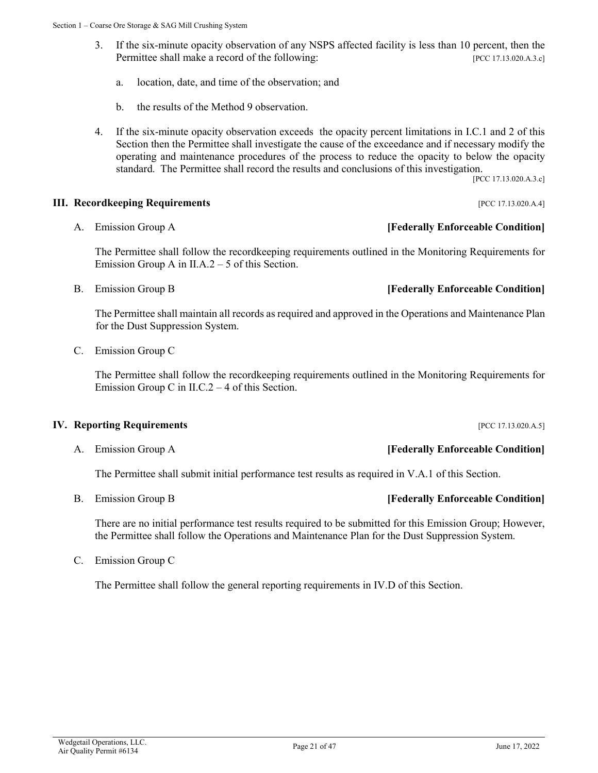- 3. If the six-minute opacity observation of any NSPS affected facility is less than 10 percent, then the Permittee shall make a record of the following: [PCC 17.13.020.A.3.c]
	- a. location, date, and time of the observation; and
	- b. the results of the Method 9 observation.
- 4. If the six-minute opacity observation exceeds the opacity percent limitations in I.C.1 and 2 of this Section then the Permittee shall investigate the cause of the exceedance and if necessary modify the operating and maintenance procedures of the process to reduce the opacity to below the opacity standard. The Permittee shall record the results and conclusions of this investigation.

[PCC 17.13.020.A.3.c]

### **III. Recordkeeping Requirements** [PCC 17.13.020.A.4]

The Permittee shall follow the recordkeeping requirements outlined in the Monitoring Requirements for Emission Group A in II.A.2 – 5 of this Section.

B. Emission Group B **[Federally Enforceable Condition]**

The Permittee shall maintain all records as required and approved in the Operations and Maintenance Plan for the Dust Suppression System.

C. Emission Group C

The Permittee shall follow the recordkeeping requirements outlined in the Monitoring Requirements for Emission Group C in II.C.2  $-$  4 of this Section.

### **IV. Reporting Requirements IV. Reporting Requirements IPCC 17.13.020.A.5**]

The Permittee shall submit initial performance test results as required in V.A.1 of this Section.

There are no initial performance test results required to be submitted for this Emission Group; However, the Permittee shall follow the Operations and Maintenance Plan for the Dust Suppression System.

C. Emission Group C

The Permittee shall follow the general reporting requirements in IV.D of this Section.

# A. Emission Group A **[Federally Enforceable Condition]**

# B. Emission Group B **[Federally Enforceable Condition]**

# A. Emission Group A **[Federally Enforceable Condition]**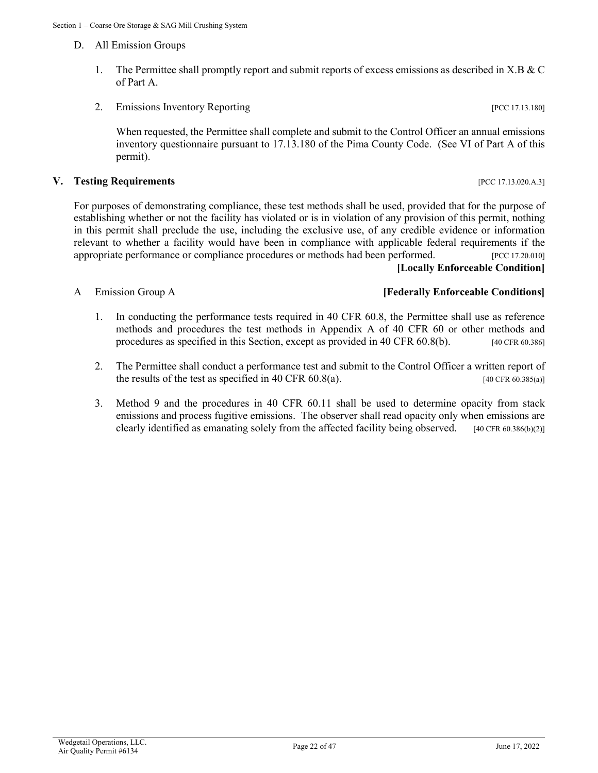- D. All Emission Groups
	- 1. The Permittee shall promptly report and submit reports of excess emissions as described in X.B & C of Part A.
	- 2. Emissions Inventory Reporting [PCC 17.13.180]

When requested, the Permittee shall complete and submit to the Control Officer an annual emissions inventory questionnaire pursuant to 17.13.180 of the Pima County Code. (See VI of Part A of this permit).

### **V. Testing Requirements** [PCC 17.13.020.A.3]

For purposes of demonstrating compliance, these test methods shall be used, provided that for the purpose of establishing whether or not the facility has violated or is in violation of any provision of this permit, nothing in this permit shall preclude the use, including the exclusive use, of any credible evidence or information relevant to whether a facility would have been in compliance with applicable federal requirements if the appropriate performance or compliance procedures or methods had been performed. [PCC 17.20.010]

# **[Locally Enforceable Condition]**

### A Emission Group A **[Federally Enforceable Conditions]**

- 1. In conducting the performance tests required in 40 CFR 60.8, the Permittee shall use as reference methods and procedures the test methods in Appendix A of 40 CFR 60 or other methods and procedures as specified in this Section, except as provided in 40 CFR 60.8(b). [40 CFR 60.386]
- 2. The Permittee shall conduct a performance test and submit to the Control Officer a written report of the results of the test as specified in 40 CFR  $60.8(a)$ . [40 CFR  $60.385(a)$ ]
- 3. Method 9 and the procedures in 40 CFR 60.11 shall be used to determine opacity from stack emissions and process fugitive emissions. The observer shall read opacity only when emissions are clearly identified as emanating solely from the affected facility being observed.  $[40 \text{ CFR } 60.386(6)(2)]$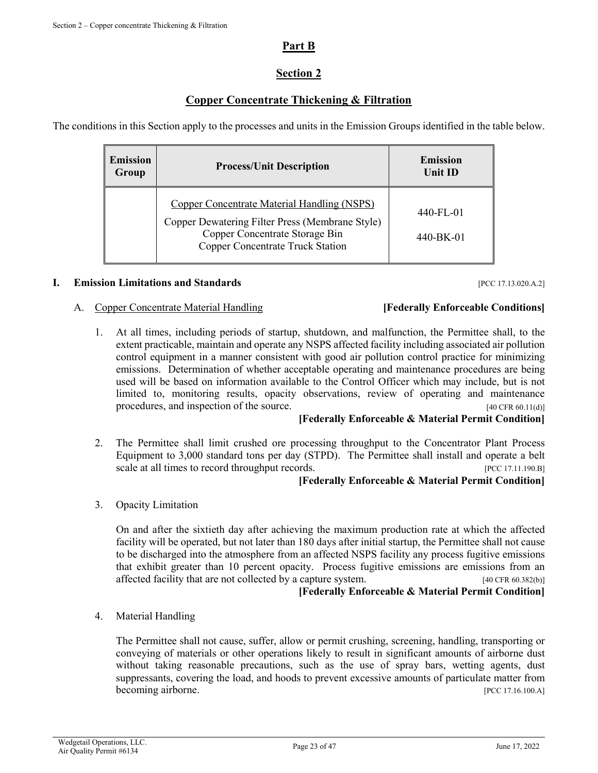# **Part B**

# **Section 2**

# **Copper Concentrate Thickening & Filtration**

The conditions in this Section apply to the processes and units in the Emission Groups identified in the table below.

| <b>Emission</b><br>Group | <b>Process/Unit Description</b>                                                                                                                                                    | <b>Emission</b><br>Unit ID |
|--------------------------|------------------------------------------------------------------------------------------------------------------------------------------------------------------------------------|----------------------------|
|                          | <b>Copper Concentrate Material Handling (NSPS)</b><br>Copper Dewatering Filter Press (Membrane Style)<br>Copper Concentrate Storage Bin<br><b>Copper Concentrate Truck Station</b> | 440-FL-01<br>440-BK-01     |

### **I. Emission Limitations and Standards Example 20.43 Example 20.43 EXAMPLE 20.44 EXAMPLE 20.44.2**

### A. Copper Concentrate Material Handling **[Federally Enforceable Conditions]**

# 1. At all times, including periods of startup, shutdown, and malfunction, the Permittee shall, to the extent practicable, maintain and operate any NSPS affected facility including associated air pollution control equipment in a manner consistent with good air pollution control practice for minimizing emissions. Determination of whether acceptable operating and maintenance procedures are being used will be based on information available to the Control Officer which may include, but is not limited to, monitoring results, opacity observations, review of operating and maintenance

procedures, and inspection of the source. [40 CFR 60.11(d)]

### **[Federally Enforceable & Material Permit Condition]**

2. The Permittee shall limit crushed ore processing throughput to the Concentrator Plant Process Equipment to 3,000 standard tons per day (STPD). The Permittee shall install and operate a belt scale at all times to record throughput records. [PCC 17.11.190.B]

### **[Federally Enforceable & Material Permit Condition]**

3. Opacity Limitation

On and after the sixtieth day after achieving the maximum production rate at which the affected facility will be operated, but not later than 180 days after initial startup, the Permittee shall not cause to be discharged into the atmosphere from an affected NSPS facility any process fugitive emissions that exhibit greater than 10 percent opacity. Process fugitive emissions are emissions from an affected facility that are not collected by a capture system. [40 CFR 60.382(b)]

### **[Federally Enforceable & Material Permit Condition]**

4. Material Handling

The Permittee shall not cause, suffer, allow or permit crushing, screening, handling, transporting or conveying of materials or other operations likely to result in significant amounts of airborne dust without taking reasonable precautions, such as the use of spray bars, wetting agents, dust suppressants, covering the load, and hoods to prevent excessive amounts of particulate matter from becoming airborne. [PCC 17.16.100.A]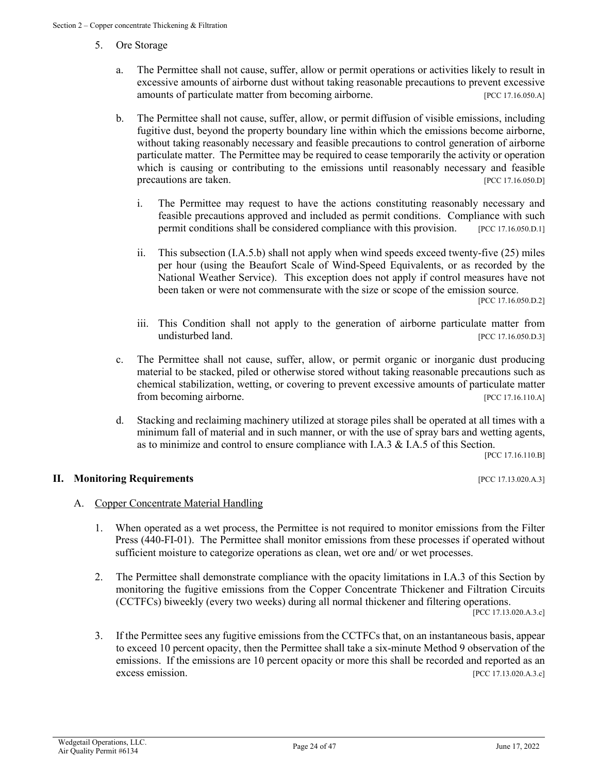- 5. Ore Storage
	- a. The Permittee shall not cause, suffer, allow or permit operations or activities likely to result in excessive amounts of airborne dust without taking reasonable precautions to prevent excessive amounts of particulate matter from becoming airborne. [PCC 17.16.050.A]
	- b. The Permittee shall not cause, suffer, allow, or permit diffusion of visible emissions, including fugitive dust, beyond the property boundary line within which the emissions become airborne, without taking reasonably necessary and feasible precautions to control generation of airborne particulate matter. The Permittee may be required to cease temporarily the activity or operation which is causing or contributing to the emissions until reasonably necessary and feasible precautions are taken. [PCC 17.16.050.D]
		- i. The Permittee may request to have the actions constituting reasonably necessary and feasible precautions approved and included as permit conditions. Compliance with such permit conditions shall be considered compliance with this provision. [PCC 17.16.050.D.1]
		- ii. This subsection (I.A.5.b) shall not apply when wind speeds exceed twenty-five (25) miles per hour (using the Beaufort Scale of Wind-Speed Equivalents, or as recorded by the National Weather Service). This exception does not apply if control measures have not been taken or were not commensurate with the size or scope of the emission source.<br>[PCC 17.16.050.D.2]
		- iii. This Condition shall not apply to the generation of airborne particulate matter from undisturbed land. [PCC 17.16.050.D.3]
	- c. The Permittee shall not cause, suffer, allow, or permit organic or inorganic dust producing material to be stacked, piled or otherwise stored without taking reasonable precautions such as chemical stabilization, wetting, or covering to prevent excessive amounts of particulate matter from becoming airborne. [PCC 17.16.110.A]
	- d. Stacking and reclaiming machinery utilized at storage piles shall be operated at all times with a minimum fall of material and in such manner, or with the use of spray bars and wetting agents, as to minimize and control to ensure compliance with I.A.3 & I.A.5 of this Section.

[PCC 17.16.110.B]

### **II. Monitoring Requirements II. All and Sequirements** *PCC 17.13.020.A.3***]**

### A. Copper Concentrate Material Handling

- 1. When operated as a wet process, the Permittee is not required to monitor emissions from the Filter Press (440-FI-01). The Permittee shall monitor emissions from these processes if operated without sufficient moisture to categorize operations as clean, wet ore and/ or wet processes.
- 2. The Permittee shall demonstrate compliance with the opacity limitations in I.A.3 of this Section by monitoring the fugitive emissions from the Copper Concentrate Thickener and Filtration Circuits (CCTFCs) biweekly (every two weeks) during all normal thickener and filtering operations. [PCC 17.13.020.A.3.c]

3. If the Permittee sees any fugitive emissions from the CCTFCs that, on an instantaneous basis, appear to exceed 10 percent opacity, then the Permittee shall take a six-minute Method 9 observation of the emissions. If the emissions are 10 percent opacity or more this shall be recorded and reported as an excess emission. [PCC 17.13.020.A.3.c]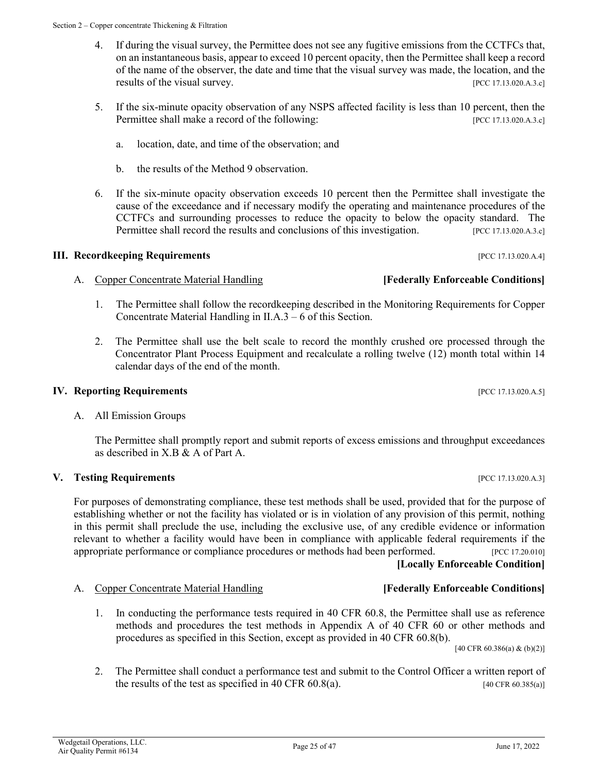- 4. If during the visual survey, the Permittee does not see any fugitive emissions from the CCTFCs that, on an instantaneous basis, appear to exceed 10 percent opacity, then the Permittee shall keep a record of the name of the observer, the date and time that the visual survey was made, the location, and the results of the visual survey. [PCC 17.13.020.A.3.c]
- 5. If the six-minute opacity observation of any NSPS affected facility is less than 10 percent, then the Permittee shall make a record of the following: [PCC 17.13.020.A.3.c]
	- a. location, date, and time of the observation; and
	- b. the results of the Method 9 observation.
- 6. If the six-minute opacity observation exceeds 10 percent then the Permittee shall investigate the cause of the exceedance and if necessary modify the operating and maintenance procedures of the CCTFCs and surrounding processes to reduce the opacity to below the opacity standard. The Permittee shall record the results and conclusions of this investigation. [PCC 17.13.020.A.3.c]

# **III. Recordkeeping Requirements** [PCC 17.13.020.A.4]

- A. Copper Concentrate Material Handling **[Federally Enforceable Conditions]**
	- 1. The Permittee shall follow the recordkeeping described in the Monitoring Requirements for Copper Concentrate Material Handling in II.A.3 – 6 of this Section.
	- 2. The Permittee shall use the belt scale to record the monthly crushed ore processed through the Concentrator Plant Process Equipment and recalculate a rolling twelve (12) month total within 14 calendar days of the end of the month.

# **IV. Reporting Requirements IV. Reporting Requirements IPCC 17.13.020.A.5**]

# A. All Emission Groups

The Permittee shall promptly report and submit reports of excess emissions and throughput exceedances as described in X.B & A of Part A.

# **V. Testing Requirements** [PCC 17.13.020.A.3]

For purposes of demonstrating compliance, these test methods shall be used, provided that for the purpose of establishing whether or not the facility has violated or is in violation of any provision of this permit, nothing in this permit shall preclude the use, including the exclusive use, of any credible evidence or information relevant to whether a facility would have been in compliance with applicable federal requirements if the appropriate performance or compliance procedures or methods had been performed. [PCC 17.20.010] **[Locally Enforceable Condition]**

# A. Copper Concentrate Material Handling **[Federally Enforceable Conditions]**

1. In conducting the performance tests required in 40 CFR 60.8, the Permittee shall use as reference methods and procedures the test methods in Appendix A of 40 CFR 60 or other methods and procedures as specified in this Section, except as provided in 40 CFR 60.8(b).

 $[40 \text{ CFR } 60.386(a) \& (b)(2)]$ 

2. The Permittee shall conduct a performance test and submit to the Control Officer a written report of the results of the test as specified in 40 CFR  $60.8(a)$ . [40 CFR  $60.385(a)$ ]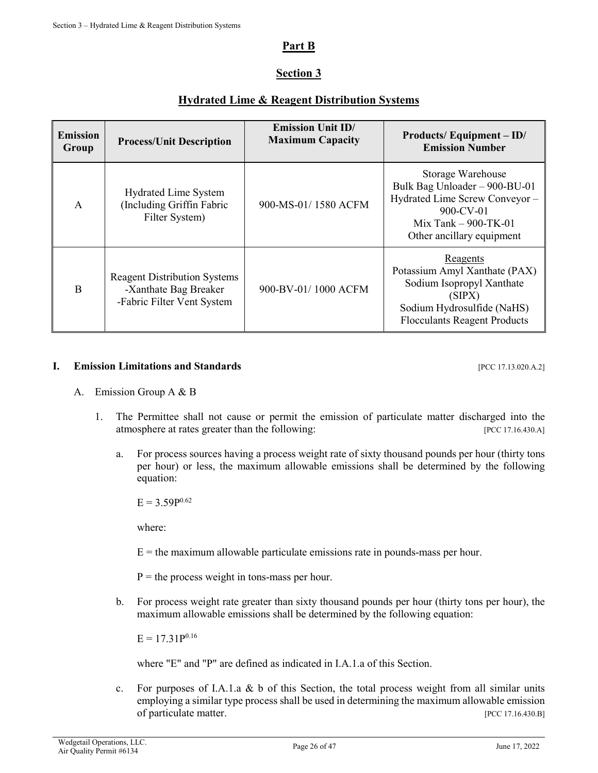# **Part B**

# **Section 3**

# **Hydrated Lime & Reagent Distribution Systems**

| <b>Emission</b><br>Group | <b>Process/Unit Description</b>                                                            | <b>Emission Unit ID/</b><br><b>Maximum Capacity</b> | Products/Equipment-ID/<br><b>Emission Number</b>                                                                                                         |
|--------------------------|--------------------------------------------------------------------------------------------|-----------------------------------------------------|----------------------------------------------------------------------------------------------------------------------------------------------------------|
| $\mathsf{A}$             | <b>Hydrated Lime System</b><br>(Including Griffin Fabric<br>Filter System)                 | 900-MS-01/1580 ACFM                                 | Storage Warehouse<br>Bulk Bag Unloader - 900-BU-01<br>Hydrated Lime Screw Conveyor -<br>900-CV-01<br>Mix Tank $-$ 900-TK-01<br>Other ancillary equipment |
| B                        | <b>Reagent Distribution Systems</b><br>-Xanthate Bag Breaker<br>-Fabric Filter Vent System | 900-BV-01/1000 ACFM                                 | Reagents<br>Potassium Amyl Xanthate (PAX)<br>Sodium Isopropyl Xanthate<br>(SIPX)<br>Sodium Hydrosulfide (NaHS)<br><b>Flocculants Reagent Products</b>    |

### **I. Emission Limitations and Standards Example 2018 Example 2018 EXECUTER EXECUTER EXECUTER EXECUTER EXECUTER EXECUTER EXECUTER EXECUTER EXECUTER EXECUTER EXECUTER EXECUTER EXECUTER EXECUT**

- A. Emission Group A & B
	- 1. The Permittee shall not cause or permit the emission of particulate matter discharged into the atmosphere at rates greater than the following: [PCC 17.16.430.A]
		- a. For process sources having a process weight rate of sixty thousand pounds per hour (thirty tons per hour) or less, the maximum allowable emissions shall be determined by the following equation:

 $E = 3.59P^{0.62}$ 

where:

 $E =$  the maximum allowable particulate emissions rate in pounds-mass per hour.

 $P =$  the process weight in tons-mass per hour.

b. For process weight rate greater than sixty thousand pounds per hour (thirty tons per hour), the maximum allowable emissions shall be determined by the following equation:

 $E = 17.31P^{0.16}$ 

where "E" and "P" are defined as indicated in I.A.1.a of this Section.

c. For purposes of I.A.1.a & b of this Section, the total process weight from all similar units employing a similar type process shall be used in determining the maximum allowable emission of particulate matter. [PCC 17.16.430.B]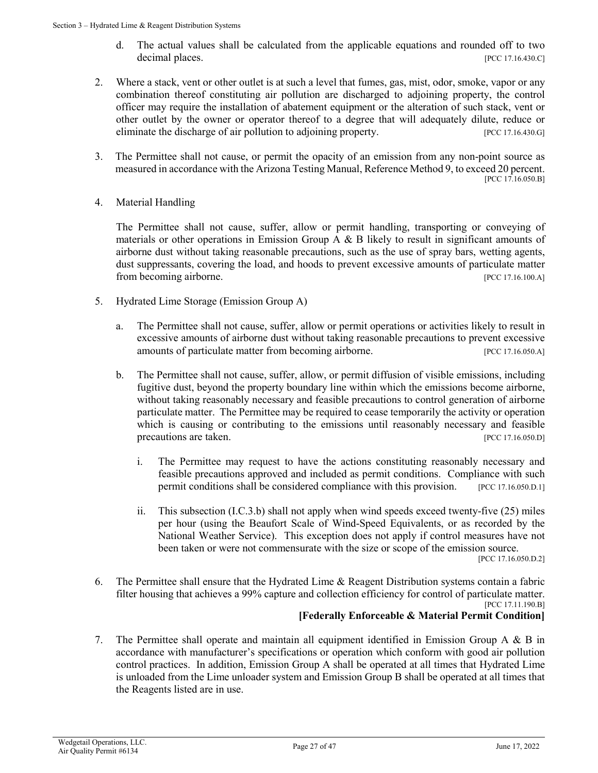- d. The actual values shall be calculated from the applicable equations and rounded off to two decimal places. [PCC 17.16.430.C]
- 2. Where a stack, vent or other outlet is at such a level that fumes, gas, mist, odor, smoke, vapor or any combination thereof constituting air pollution are discharged to adjoining property, the control officer may require the installation of abatement equipment or the alteration of such stack, vent or other outlet by the owner or operator thereof to a degree that will adequately dilute, reduce or eliminate the discharge of air pollution to adjoining property. [PCC 17.16.430.G]
- 3. The Permittee shall not cause, or permit the opacity of an emission from any non-point source as measured in accordance with the Arizona Testing Manual, Reference Method 9, to exceed 20 percent. [PCC 17.16.050.B]
- 4. Material Handling

The Permittee shall not cause, suffer, allow or permit handling, transporting or conveying of materials or other operations in Emission Group A  $\&$  B likely to result in significant amounts of airborne dust without taking reasonable precautions, such as the use of spray bars, wetting agents, dust suppressants, covering the load, and hoods to prevent excessive amounts of particulate matter from becoming airborne. [PCC 17.16.100.A]

- 5. Hydrated Lime Storage (Emission Group A)
	- a. The Permittee shall not cause, suffer, allow or permit operations or activities likely to result in excessive amounts of airborne dust without taking reasonable precautions to prevent excessive amounts of particulate matter from becoming airborne. [PCC 17.16.050.A]
	- b. The Permittee shall not cause, suffer, allow, or permit diffusion of visible emissions, including fugitive dust, beyond the property boundary line within which the emissions become airborne, without taking reasonably necessary and feasible precautions to control generation of airborne particulate matter. The Permittee may be required to cease temporarily the activity or operation which is causing or contributing to the emissions until reasonably necessary and feasible precautions are taken. [PCC 17.16.050.D]
		- i. The Permittee may request to have the actions constituting reasonably necessary and feasible precautions approved and included as permit conditions. Compliance with such permit conditions shall be considered compliance with this provision. [PCC 17.16.050.D.1]
		- ii. This subsection (I.C.3.b) shall not apply when wind speeds exceed twenty-five (25) miles per hour (using the Beaufort Scale of Wind-Speed Equivalents, or as recorded by the National Weather Service). This exception does not apply if control measures have not been taken or were not commensurate with the size or scope of the emission source. [PCC 17.16.050.D.2]
- 6. The Permittee shall ensure that the Hydrated Lime & Reagent Distribution systems contain a fabric filter housing that achieves a 99% capture and collection efficiency for control of particulate matter. [PCC 17.11.190.B]

# **[Federally Enforceable & Material Permit Condition]**

7. The Permittee shall operate and maintain all equipment identified in Emission Group A & B in accordance with manufacturer's specifications or operation which conform with good air pollution control practices. In addition, Emission Group A shall be operated at all times that Hydrated Lime is unloaded from the Lime unloader system and Emission Group B shall be operated at all times that the Reagents listed are in use.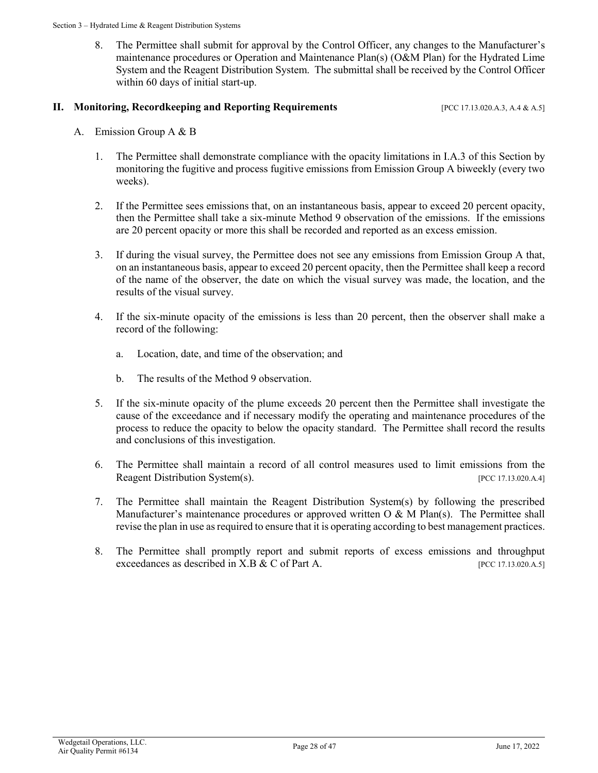8. The Permittee shall submit for approval by the Control Officer, any changes to the Manufacturer's maintenance procedures or Operation and Maintenance Plan(s) (O&M Plan) for the Hydrated Lime System and the Reagent Distribution System. The submittal shall be received by the Control Officer within 60 days of initial start-up.

### **II. Monitoring, Recordkeeping and Reporting Requirements** [PCC 17.13.020.A.3, A.4 & A.5]

- A. Emission Group A & B
	- 1. The Permittee shall demonstrate compliance with the opacity limitations in I.A.3 of this Section by monitoring the fugitive and process fugitive emissions from Emission Group A biweekly (every two weeks).
	- 2. If the Permittee sees emissions that, on an instantaneous basis, appear to exceed 20 percent opacity, then the Permittee shall take a six-minute Method 9 observation of the emissions. If the emissions are 20 percent opacity or more this shall be recorded and reported as an excess emission.
	- 3. If during the visual survey, the Permittee does not see any emissions from Emission Group A that, on an instantaneous basis, appear to exceed 20 percent opacity, then the Permittee shall keep a record of the name of the observer, the date on which the visual survey was made, the location, and the results of the visual survey.
	- 4. If the six-minute opacity of the emissions is less than 20 percent, then the observer shall make a record of the following:
		- a. Location, date, and time of the observation; and
		- b. The results of the Method 9 observation.
	- 5. If the six-minute opacity of the plume exceeds 20 percent then the Permittee shall investigate the cause of the exceedance and if necessary modify the operating and maintenance procedures of the process to reduce the opacity to below the opacity standard. The Permittee shall record the results and conclusions of this investigation.
	- 6. The Permittee shall maintain a record of all control measures used to limit emissions from the Reagent Distribution System(s). [PCC 17.13.020.A.4]
	- 7. The Permittee shall maintain the Reagent Distribution System(s) by following the prescribed Manufacturer's maintenance procedures or approved written O  $\&$  M Plan(s). The Permittee shall revise the plan in use as required to ensure that it is operating according to best management practices.
	- 8. The Permittee shall promptly report and submit reports of excess emissions and throughput exceedances as described in X.B & C of Part A. [PCC 17.13.020.A.5]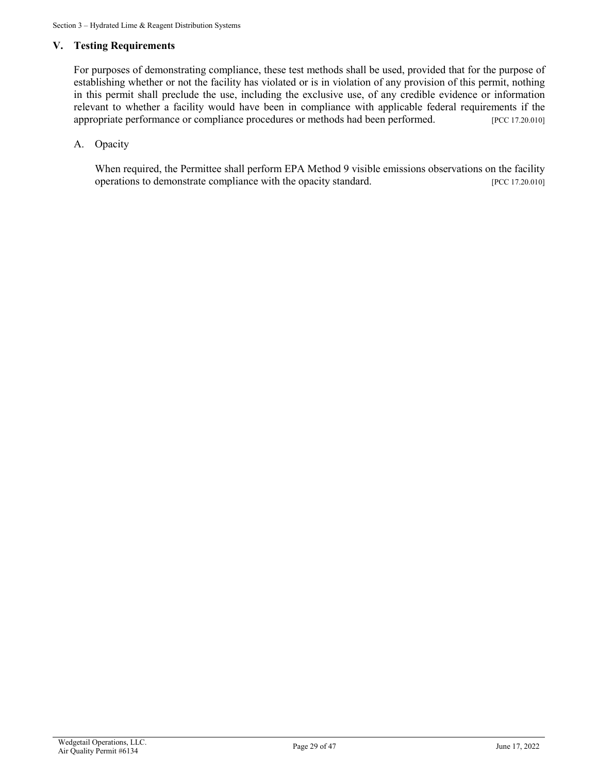## **V. Testing Requirements**

For purposes of demonstrating compliance, these test methods shall be used, provided that for the purpose of establishing whether or not the facility has violated or is in violation of any provision of this permit, nothing in this permit shall preclude the use, including the exclusive use, of any credible evidence or information relevant to whether a facility would have been in compliance with applicable federal requirements if the appropriate performance or compliance procedures or methods had been performed. [PCC 17.20.010]

# A. Opacity

When required, the Permittee shall perform EPA Method 9 visible emissions observations on the facility operations to demonstrate compliance with the opacity standard. [PCC 17.20.010]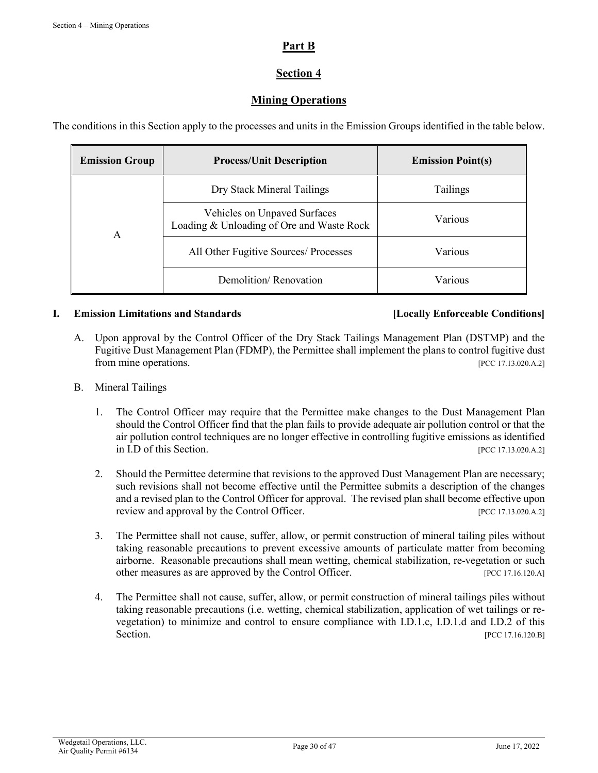# **Part B**

# **Section 4**

# **Mining Operations**

The conditions in this Section apply to the processes and units in the Emission Groups identified in the table below.

| <b>Emission Group</b> | <b>Process/Unit Description</b>                                           | <b>Emission Point(s)</b> |
|-----------------------|---------------------------------------------------------------------------|--------------------------|
|                       | Dry Stack Mineral Tailings                                                | Tailings                 |
| А                     | Vehicles on Unpaved Surfaces<br>Loading & Unloading of Ore and Waste Rock | Various                  |
|                       | All Other Fugitive Sources/ Processes                                     | Various                  |
|                       | Demolition/Renovation                                                     | Various                  |

# **I. Emission Limitations and Standards [Locally Enforceable Conditions]**

- A. Upon approval by the Control Officer of the Dry Stack Tailings Management Plan (DSTMP) and the Fugitive Dust Management Plan (FDMP), the Permittee shall implement the plans to control fugitive dust from mine operations. [PCC 17.13.020.A.2]
- B. Mineral Tailings
	- 1. The Control Officer may require that the Permittee make changes to the Dust Management Plan should the Control Officer find that the plan fails to provide adequate air pollution control or that the air pollution control techniques are no longer effective in controlling fugitive emissions as identified in I.D of this Section. [PCC 17.13.020.A.2]
	- 2. Should the Permittee determine that revisions to the approved Dust Management Plan are necessary; such revisions shall not become effective until the Permittee submits a description of the changes and a revised plan to the Control Officer for approval. The revised plan shall become effective upon review and approval by the Control Officer. [PCC 17.13.020.A.2]
	- 3. The Permittee shall not cause, suffer, allow, or permit construction of mineral tailing piles without taking reasonable precautions to prevent excessive amounts of particulate matter from becoming airborne. Reasonable precautions shall mean wetting, chemical stabilization, re-vegetation or such other measures as are approved by the Control Officer. [PCC 17.16.120.A]
	- 4. The Permittee shall not cause, suffer, allow, or permit construction of mineral tailings piles without taking reasonable precautions (i.e. wetting, chemical stabilization, application of wet tailings or revegetation) to minimize and control to ensure compliance with I.D.1.c, I.D.1.d and I.D.2 of this Section. [PCC 17.16.120.B]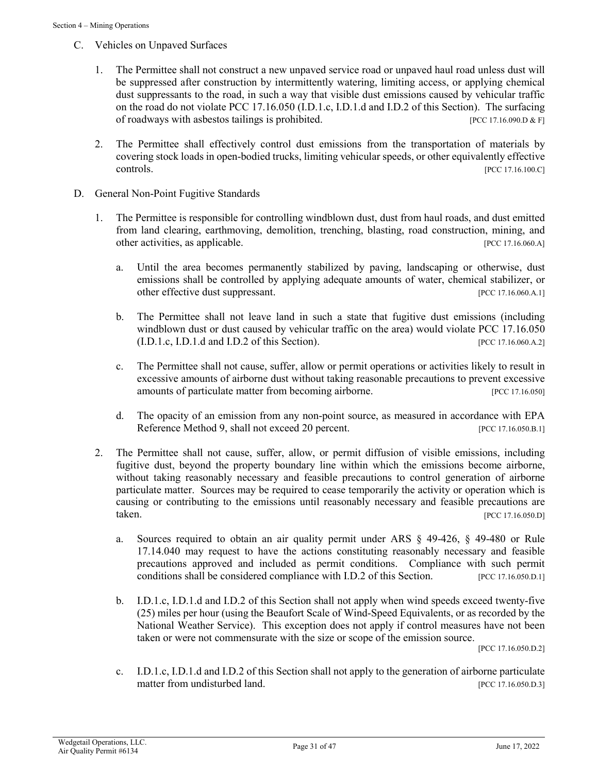- C. Vehicles on Unpaved Surfaces
	- 1. The Permittee shall not construct a new unpaved service road or unpaved haul road unless dust will be suppressed after construction by intermittently watering, limiting access, or applying chemical dust suppressants to the road, in such a way that visible dust emissions caused by vehicular traffic on the road do not violate PCC 17.16.050 (I.D.1.c, I.D.1.d and I.D.2 of this Section). The surfacing of roadways with asbestos tailings is prohibited. [PCC 17.16.090.D & F]
	- 2. The Permittee shall effectively control dust emissions from the transportation of materials by covering stock loads in open-bodied trucks, limiting vehicular speeds, or other equivalently effective controls. [PCC 17.16.100.C]
- D. General Non-Point Fugitive Standards
	- 1. The Permittee is responsible for controlling windblown dust, dust from haul roads, and dust emitted from land clearing, earthmoving, demolition, trenching, blasting, road construction, mining, and other activities, as applicable. [PCC 17.16.060.A]
		- a. Until the area becomes permanently stabilized by paving, landscaping or otherwise, dust emissions shall be controlled by applying adequate amounts of water, chemical stabilizer, or other effective dust suppressant. [PCC 17.16.060.A.1]
		- b. The Permittee shall not leave land in such a state that fugitive dust emissions (including windblown dust or dust caused by vehicular traffic on the area) would violate PCC 17.16.050 (I.D.1.c, I.D.1.d and I.D.2 of this Section). [PCC 17.16.060.A.2]
		- c. The Permittee shall not cause, suffer, allow or permit operations or activities likely to result in excessive amounts of airborne dust without taking reasonable precautions to prevent excessive amounts of particulate matter from becoming airborne. [PCC 17.16.050]
		- d. The opacity of an emission from any non-point source, as measured in accordance with EPA Reference Method 9, shall not exceed 20 percent. [PCC 17.16.050.B.1]
	- 2. The Permittee shall not cause, suffer, allow, or permit diffusion of visible emissions, including fugitive dust, beyond the property boundary line within which the emissions become airborne, without taking reasonably necessary and feasible precautions to control generation of airborne particulate matter. Sources may be required to cease temporarily the activity or operation which is causing or contributing to the emissions until reasonably necessary and feasible precautions are taken. [PCC 17.16.050.D]
		- a. Sources required to obtain an air quality permit under ARS § 49-426, § 49-480 or Rule 17.14.040 may request to have the actions constituting reasonably necessary and feasible precautions approved and included as permit conditions. Compliance with such permit conditions shall be considered compliance with I.D.2 of this Section. [PCC 17.16.050.D.1]
		- b. I.D.1.c, I.D.1.d and I.D.2 of this Section shall not apply when wind speeds exceed twenty-five (25) miles per hour (using the Beaufort Scale of Wind-Speed Equivalents, or as recorded by the National Weather Service). This exception does not apply if control measures have not been taken or were not commensurate with the size or scope of the emission source.

[PCC 17.16.050.D.2]

c. I.D.1.c, I.D.1.d and I.D.2 of this Section shall not apply to the generation of airborne particulate matter from undisturbed land. [PCC 17.16.050.D.3]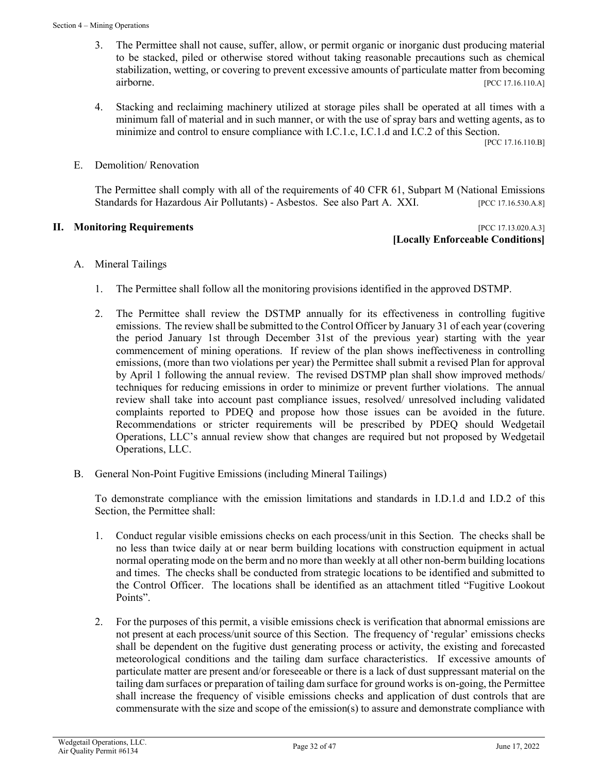- 3. The Permittee shall not cause, suffer, allow, or permit organic or inorganic dust producing material to be stacked, piled or otherwise stored without taking reasonable precautions such as chemical stabilization, wetting, or covering to prevent excessive amounts of particulate matter from becoming airborne. [PCC 17.16.110.A]
- 4. Stacking and reclaiming machinery utilized at storage piles shall be operated at all times with a minimum fall of material and in such manner, or with the use of spray bars and wetting agents, as to minimize and control to ensure compliance with I.C.1.c, I.C.1.d and I.C.2 of this Section.

[PCC 17.16.110.B]

E. Demolition/ Renovation

The Permittee shall comply with all of the requirements of 40 CFR 61, Subpart M (National Emissions Standards for Hazardous Air Pollutants) - Asbestos. See also Part A. XXI. [PCC 17.16.530.A.8]

### **II. Monitoring Requirements in the sequence of the sequence of the sequence of the sequence of the sequence of the sequence of the sequence of the sequence of the sequence of the sequence of the sequence of the sequence**

**[Locally Enforceable Conditions]**

- A. Mineral Tailings
	- 1. The Permittee shall follow all the monitoring provisions identified in the approved DSTMP.
	- 2. The Permittee shall review the DSTMP annually for its effectiveness in controlling fugitive emissions. The review shall be submitted to the Control Officer by January 31 of each year (covering the period January 1st through December 31st of the previous year) starting with the year commencement of mining operations. If review of the plan shows ineffectiveness in controlling emissions, (more than two violations per year) the Permittee shall submit a revised Plan for approval by April 1 following the annual review. The revised DSTMP plan shall show improved methods/ techniques for reducing emissions in order to minimize or prevent further violations. The annual review shall take into account past compliance issues, resolved/ unresolved including validated complaints reported to PDEQ and propose how those issues can be avoided in the future. Recommendations or stricter requirements will be prescribed by PDEQ should Wedgetail Operations, LLC's annual review show that changes are required but not proposed by Wedgetail Operations, LLC.
- B. General Non-Point Fugitive Emissions (including Mineral Tailings)

To demonstrate compliance with the emission limitations and standards in I.D.1.d and I.D.2 of this Section, the Permittee shall:

- 1. Conduct regular visible emissions checks on each process/unit in this Section. The checks shall be no less than twice daily at or near berm building locations with construction equipment in actual normal operating mode on the berm and no more than weekly at all other non-berm building locations and times. The checks shall be conducted from strategic locations to be identified and submitted to the Control Officer. The locations shall be identified as an attachment titled "Fugitive Lookout Points".
- 2. For the purposes of this permit, a visible emissions check is verification that abnormal emissions are not present at each process/unit source of this Section. The frequency of 'regular' emissions checks shall be dependent on the fugitive dust generating process or activity, the existing and forecasted meteorological conditions and the tailing dam surface characteristics. If excessive amounts of particulate matter are present and/or foreseeable or there is a lack of dust suppressant material on the tailing dam surfaces or preparation of tailing dam surface for ground works is on-going, the Permittee shall increase the frequency of visible emissions checks and application of dust controls that are commensurate with the size and scope of the emission(s) to assure and demonstrate compliance with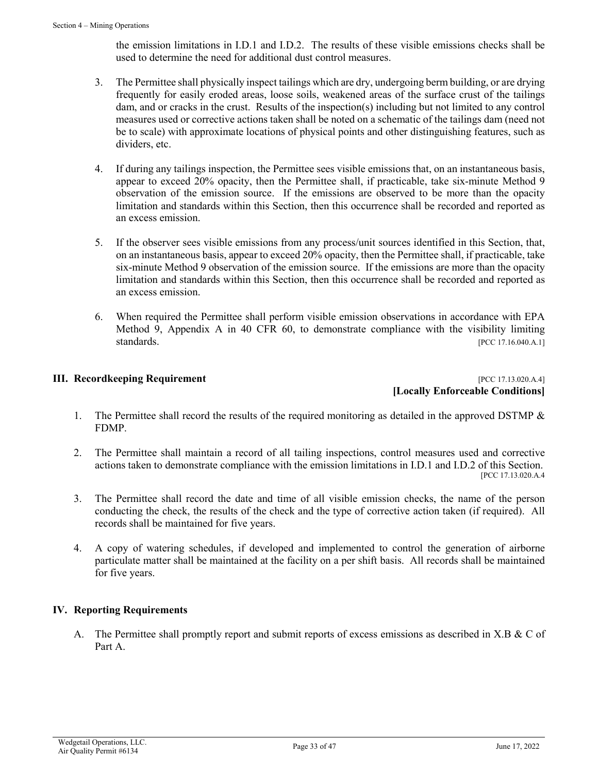the emission limitations in I.D.1 and I.D.2. The results of these visible emissions checks shall be used to determine the need for additional dust control measures.

- 3. The Permittee shall physically inspect tailings which are dry, undergoing berm building, or are drying frequently for easily eroded areas, loose soils, weakened areas of the surface crust of the tailings dam, and or cracks in the crust. Results of the inspection(s) including but not limited to any control measures used or corrective actions taken shall be noted on a schematic of the tailings dam (need not be to scale) with approximate locations of physical points and other distinguishing features, such as dividers, etc.
- 4. If during any tailings inspection, the Permittee sees visible emissions that, on an instantaneous basis, appear to exceed 20% opacity, then the Permittee shall, if practicable, take six-minute Method 9 observation of the emission source. If the emissions are observed to be more than the opacity limitation and standards within this Section, then this occurrence shall be recorded and reported as an excess emission.
- 5. If the observer sees visible emissions from any process/unit sources identified in this Section, that, on an instantaneous basis, appear to exceed 20% opacity, then the Permittee shall, if practicable, take six-minute Method 9 observation of the emission source. If the emissions are more than the opacity limitation and standards within this Section, then this occurrence shall be recorded and reported as an excess emission.
- 6. When required the Permittee shall perform visible emission observations in accordance with EPA Method 9, Appendix A in 40 CFR 60, to demonstrate compliance with the visibility limiting standards. [PCC 17.16.040.A.1]

# **III. Recordkeeping Requirement** *PCC 17.13.020.A.4***]**

**[Locally Enforceable Conditions]**

- 1. The Permittee shall record the results of the required monitoring as detailed in the approved DSTMP & FDMP.
- 2. The Permittee shall maintain a record of all tailing inspections, control measures used and corrective actions taken to demonstrate compliance with the emission limitations in I.D.1 and I.D.2 of this Section. [PCC 17.13.020.A.4
- 3. The Permittee shall record the date and time of all visible emission checks, the name of the person conducting the check, the results of the check and the type of corrective action taken (if required). All records shall be maintained for five years.
- 4. A copy of watering schedules, if developed and implemented to control the generation of airborne particulate matter shall be maintained at the facility on a per shift basis. All records shall be maintained for five years.

# **IV. Reporting Requirements**

A. The Permittee shall promptly report and submit reports of excess emissions as described in X.B & C of Part A.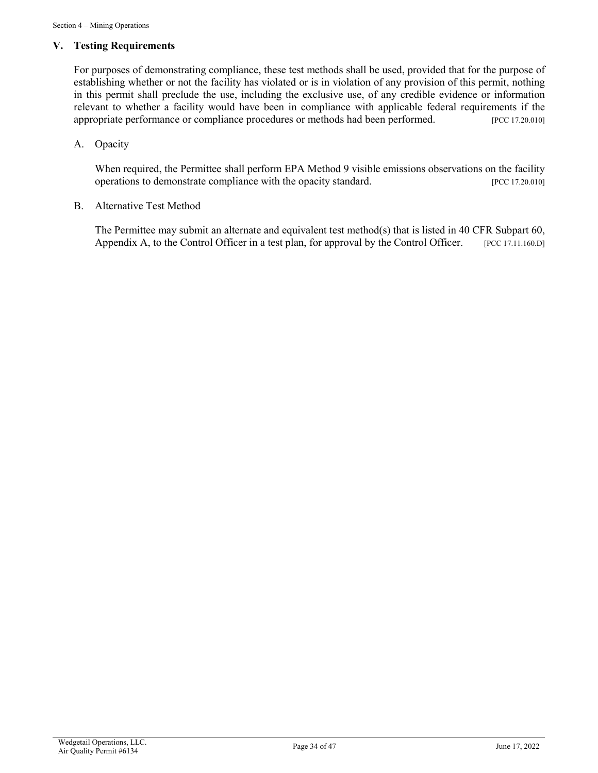# **V. Testing Requirements**

For purposes of demonstrating compliance, these test methods shall be used, provided that for the purpose of establishing whether or not the facility has violated or is in violation of any provision of this permit, nothing in this permit shall preclude the use, including the exclusive use, of any credible evidence or information relevant to whether a facility would have been in compliance with applicable federal requirements if the appropriate performance or compliance procedures or methods had been performed. [PCC 17.20.010]

# A. Opacity

When required, the Permittee shall perform EPA Method 9 visible emissions observations on the facility operations to demonstrate compliance with the opacity standard. [PCC 17.20.010]

### B. Alternative Test Method

The Permittee may submit an alternate and equivalent test method(s) that is listed in 40 CFR Subpart 60, Appendix A, to the Control Officer in a test plan, for approval by the Control Officer. [PCC 17.11.160.D]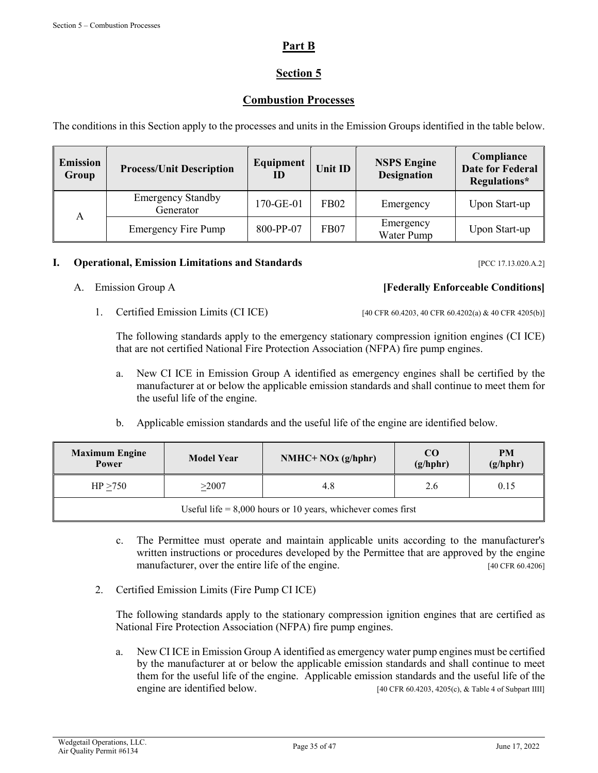# **Part B**

# **Section 5**

# **Combustion Processes**

The conditions in this Section apply to the processes and units in the Emission Groups identified in the table below.

| <b>Emission</b><br>Group | <b>Process/Unit Description</b>                    | Equipment<br>ID | <b>Unit ID</b> | <b>NSPS Engine</b><br><b>Designation</b> | Compliance<br><b>Date for Federal</b><br>Regulations* |
|--------------------------|----------------------------------------------------|-----------------|----------------|------------------------------------------|-------------------------------------------------------|
|                          | <b>Emergency Standby</b><br>170-GE-01<br>Generator |                 | <b>FB02</b>    | Emergency                                | Upon Start-up                                         |
| A                        | <b>Emergency Fire Pump</b>                         | 800-PP-07       | FB07           | Emergency<br>Water Pump                  | Upon Start-up                                         |

# **I. Operational, Emission Limitations and Standards** [PCC 17.13.020.A.2]

# A. Emission Group A **[Federally Enforceable Conditions]**

1. Certified Emission Limits (CI ICE) [40 CFR 60.4203, 40 CFR 60.4202(a) & 40 CFR 4205(b)]

The following standards apply to the emergency stationary compression ignition engines (CI ICE) that are not certified National Fire Protection Association (NFPA) fire pump engines.

- a. New CI ICE in Emission Group A identified as emergency engines shall be certified by the manufacturer at or below the applicable emission standards and shall continue to meet them for the useful life of the engine.
- b. Applicable emission standards and the useful life of the engine are identified below.

| <b>Maximum Engine</b><br>Power                                 | <b>Model Year</b> | $NMHC+NOx (g/hphr)$ | CO<br>(g/hphr) | <b>PM</b><br>(g/hphr) |
|----------------------------------------------------------------|-------------------|---------------------|----------------|-----------------------|
| HP > 750                                                       | $>$ 2007 $\,$     | 4.8                 | 2.6            | 0.15                  |
| Useful life $= 8,000$ hours or 10 years, whichever comes first |                   |                     |                |                       |

- c. The Permittee must operate and maintain applicable units according to the manufacturer's written instructions or procedures developed by the Permittee that are approved by the engine manufacturer, over the entire life of the engine. [40 CFR 60.4206]
- 2. Certified Emission Limits (Fire Pump CI ICE)

 The following standards apply to the stationary compression ignition engines that are certified as National Fire Protection Association (NFPA) fire pump engines.

a. New CI ICE in Emission Group A identified as emergency water pump engines must be certified by the manufacturer at or below the applicable emission standards and shall continue to meet them for the useful life of the engine. Applicable emission standards and the useful life of the engine are identified below. [40 CFR 60.4203, 4205(c), & Table 4 of Subpart IIII]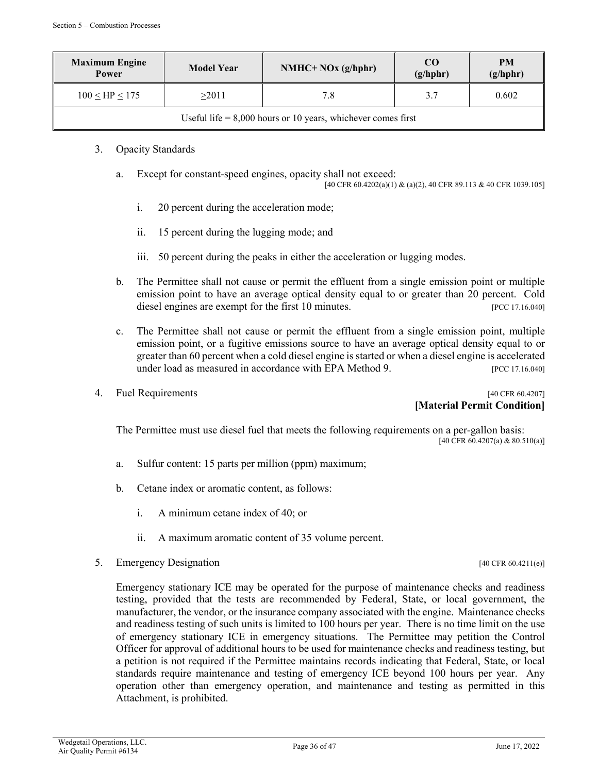| <b>Maximum Engine</b><br>Power                                 | <b>Model Year</b> | $NMHC+NOx (g/hphr)$ | CO <sub>0</sub><br>(g/hphr) | <b>PM</b><br>(g/hphr) |
|----------------------------------------------------------------|-------------------|---------------------|-----------------------------|-----------------------|
| $100 <$ HP $< 175$                                             | >2011             | 7.8                 | 3.7                         | 0.602                 |
| Useful life $= 8,000$ hours or 10 years, whichever comes first |                   |                     |                             |                       |

- 3. Opacity Standards
	- a. Except for constant-speed engines, opacity shall not exceed:

[40 CFR 60.4202(a)(1) & (a)(2), 40 CFR 89.113 & 40 CFR 1039.105]

- i. 20 percent during the acceleration mode;
- ii. 15 percent during the lugging mode; and
- iii. 50 percent during the peaks in either the acceleration or lugging modes.
- b. The Permittee shall not cause or permit the effluent from a single emission point or multiple emission point to have an average optical density equal to or greater than 20 percent. Cold diesel engines are exempt for the first 10 minutes. [PCC 17.16.040]
- c. The Permittee shall not cause or permit the effluent from a single emission point, multiple emission point, or a fugitive emissions source to have an average optical density equal to or greater than 60 percent when a cold diesel engine is started or when a diesel engine is accelerated under load as measured in accordance with EPA Method 9. [PCC 17.16.040]
- 

# 4. Fuel Requirements [40 CFR 60.4207] **[Material Permit Condition]**

The Permittee must use diesel fuel that meets the following requirements on a per-gallon basis:<br>[40 CFR 60.4207(a) & 80.510(a)]

- a. Sulfur content: 15 parts per million (ppm) maximum;
- b. Cetane index or aromatic content, as follows:
	- i. A minimum cetane index of 40; or
	- ii. A maximum aromatic content of 35 volume percent.
- 5. Emergency Designation [40 CFR 60.4211(e)]

Emergency stationary ICE may be operated for the purpose of maintenance checks and readiness testing, provided that the tests are recommended by Federal, State, or local government, the manufacturer, the vendor, or the insurance company associated with the engine. Maintenance checks and readiness testing of such units is limited to 100 hours per year. There is no time limit on the use of emergency stationary ICE in emergency situations. The Permittee may petition the Control Officer for approval of additional hours to be used for maintenance checks and readiness testing, but a petition is not required if the Permittee maintains records indicating that Federal, State, or local standards require maintenance and testing of emergency ICE beyond 100 hours per year. Any operation other than emergency operation, and maintenance and testing as permitted in this Attachment, is prohibited.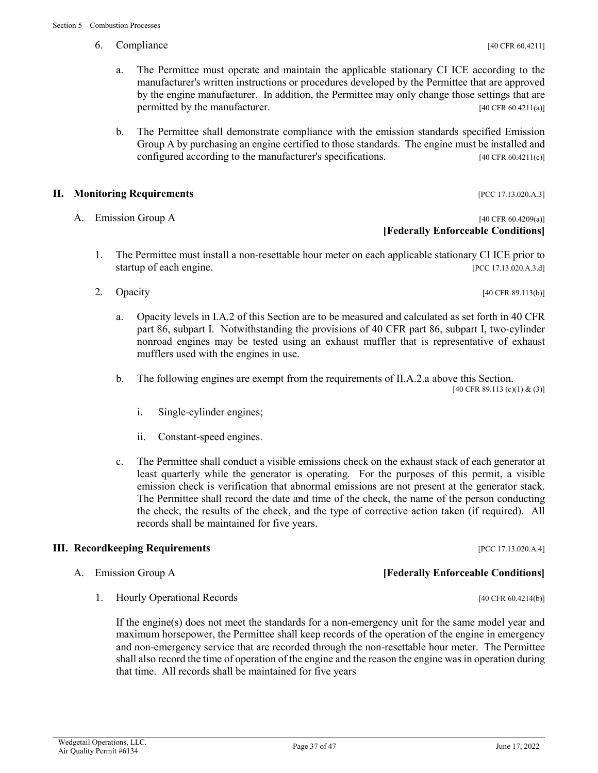- 6. Compliance [40 CFR 60.4211]
	- a. The Permittee must operate and maintain the applicable stationary CI ICE according to the manufacturer's written instructions or procedures developed by the Permittee that are approved by the engine manufacturer. In addition, the Permittee may only change those settings that are permitted by the manufacturer. [40 CFR 60.4211(a)]
	- b. The Permittee shall demonstrate compliance with the emission standards specified Emission Group A by purchasing an engine certified to those standards. The engine must be installed and configured according to the manufacturer's specifications.  $[40 \text{ CFR } 60.4211(c)]$

### **II. Monitoring Requirements II. All and Sequirements II. All and Sequirements IPCC 17.13.020.A.3**]

# A. Emission Group A and the contract of the contract of the contract of the contract of the contract of the contract of the contract of the contract of the contract of the contract of the contract of the contract of the co **[Federally Enforceable Conditions]**

- 1. The Permittee must install a non-resettable hour meter on each applicable stationary CI ICE prior to startup of each engine. [PCC 17.13.020.A.3.d]
- 2. Opacity [40 CFR 89.113(b)]
	- a. Opacity levels in I.A.2 of this Section are to be measured and calculated as set forth in 40 CFR part 86, subpart I. Notwithstanding the provisions of 40 CFR part 86, subpart I, two-cylinder nonroad engines may be tested using an exhaust muffler that is representative of exhaust mufflers used with the engines in use.
	- b. The following engines are exempt from the requirements of II.A.2.a above this Section.

[40 CFR 89.113 (c)(1) & (3)]

- i. Single-cylinder engines;
- ii. Constant-speed engines.
- c. The Permittee shall conduct a visible emissions check on the exhaust stack of each generator at least quarterly while the generator is operating. For the purposes of this permit, a visible emission check is verification that abnormal emissions are not present at the generator stack. The Permittee shall record the date and time of the check, the name of the person conducting the check, the results of the check, and the type of corrective action taken (if required). All records shall be maintained for five years.

### **III. Recordkeeping Requirements** *PCC 17.13.020.A.4***]**

- A. Emission Group A **[Federally Enforceable Conditions]**
	- 1. Hourly Operational Records [40 CFR 60.4214(b)]

If the engine(s) does not meet the standards for a non-emergency unit for the same model year and maximum horsepower, the Permittee shall keep records of the operation of the engine in emergency and non-emergency service that are recorded through the non-resettable hour meter. The Permittee shall also record the time of operation of the engine and the reason the engine was in operation during that time. All records shall be maintained for five years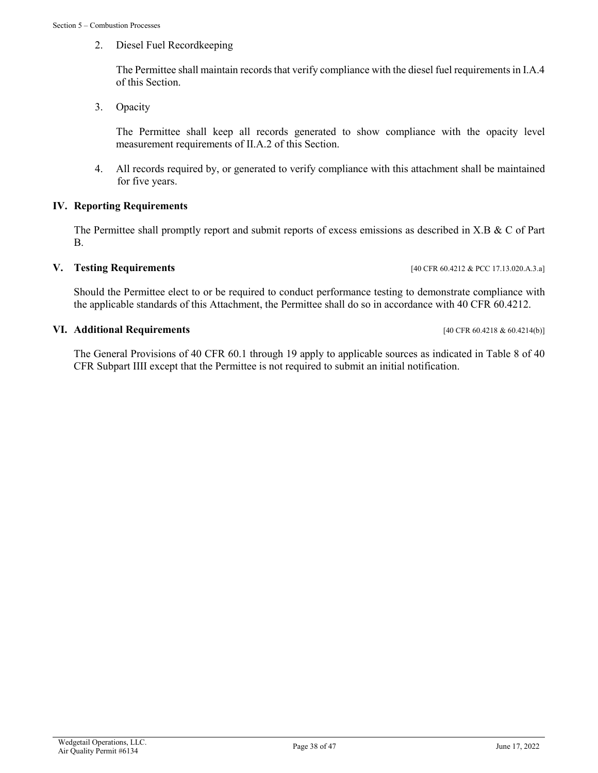2. Diesel Fuel Recordkeeping

The Permittee shall maintain records that verify compliance with the diesel fuel requirements in I.A.4 of this Section.

3. Opacity

The Permittee shall keep all records generated to show compliance with the opacity level measurement requirements of II.A.2 of this Section.

4. All records required by, or generated to verify compliance with this attachment shall be maintained for five years.

### **IV. Reporting Requirements**

The Permittee shall promptly report and submit reports of excess emissions as described in X.B & C of Part B.

# **V. Testing Requirements** [40 CFR 60.4212 & PCC 17.13.020.A.3.a]

Should the Permittee elect to or be required to conduct performance testing to demonstrate compliance with the applicable standards of this Attachment, the Permittee shall do so in accordance with 40 CFR 60.4212.

### **VI. Additional Requirements** [40 CFR 60.4218 & 60.4214(b)]

The General Provisions of 40 CFR 60.1 through 19 apply to applicable sources as indicated in Table 8 of 40 CFR Subpart IIII except that the Permittee is not required to submit an initial notification.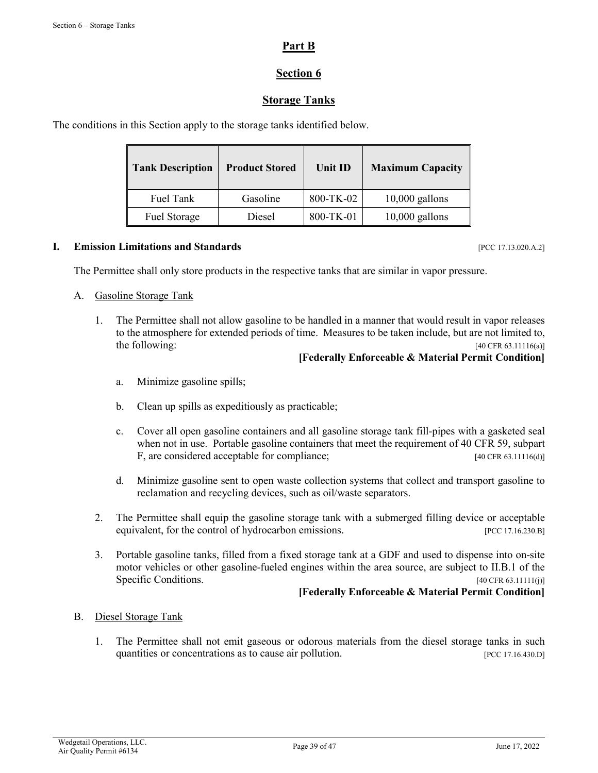# **Part B**

# **Section 6**

# **Storage Tanks**

The conditions in this Section apply to the storage tanks identified below.

| <b>Tank Description</b> | <b>Product Stored</b> | Unit ID   | <b>Maximum Capacity</b> |
|-------------------------|-----------------------|-----------|-------------------------|
| Fuel Tank               | Gasoline              | 800-TK-02 | $10,000$ gallons        |
| Fuel Storage            | Diesel                | 800-TK-01 | $10,000$ gallons        |

### **I. Emission Limitations and Standards** [PCC 17.13.020.A.2]

The Permittee shall only store products in the respective tanks that are similar in vapor pressure.

### A. Gasoline Storage Tank

 1. The Permittee shall not allow gasoline to be handled in a manner that would result in vapor releases to the atmosphere for extended periods of time. Measures to be taken include, but are not limited to, the following:  $[40 \text{ CFR } 63.11116(a)]$ 

### **[Federally Enforceable & Material Permit Condition]**

- a. Minimize gasoline spills;
- b. Clean up spills as expeditiously as practicable;
- c. Cover all open gasoline containers and all gasoline storage tank fill-pipes with a gasketed seal when not in use. Portable gasoline containers that meet the requirement of 40 CFR 59, subpart F, are considered acceptable for compliance; [40 CFR 63.11116(d)]
- d. Minimize gasoline sent to open waste collection systems that collect and transport gasoline to reclamation and recycling devices, such as oil/waste separators.
- 2. The Permittee shall equip the gasoline storage tank with a submerged filling device or acceptable equivalent, for the control of hydrocarbon emissions. [PCC 17.16.230.B]
- 3. Portable gasoline tanks, filled from a fixed storage tank at a GDF and used to dispense into on-site motor vehicles or other gasoline-fueled engines within the area source, are subject to II.B.1 of the Specific Conditions. [40 CFR 63.11111(j)]

### **[Federally Enforceable & Material Permit Condition]**

### B. Diesel Storage Tank

 1. The Permittee shall not emit gaseous or odorous materials from the diesel storage tanks in such quantities or concentrations as to cause air pollution. [PCC 17.16.430.D]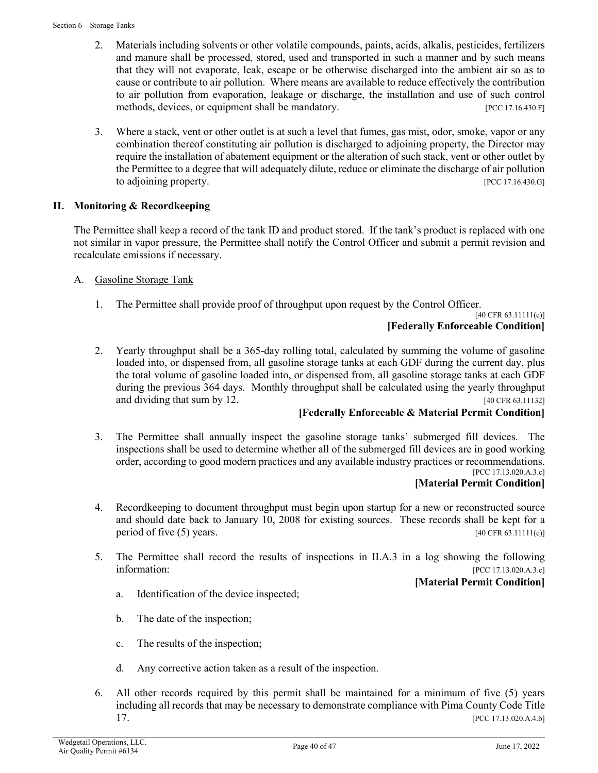- 2. Materials including solvents or other volatile compounds, paints, acids, alkalis, pesticides, fertilizers and manure shall be processed, stored, used and transported in such a manner and by such means that they will not evaporate, leak, escape or be otherwise discharged into the ambient air so as to cause or contribute to air pollution. Where means are available to reduce effectively the contribution to air pollution from evaporation, leakage or discharge, the installation and use of such control methods, devices, or equipment shall be mandatory. [PCC 17.16.430.F]
- 3. Where a stack, vent or other outlet is at such a level that fumes, gas mist, odor, smoke, vapor or any combination thereof constituting air pollution is discharged to adjoining property, the Director may require the installation of abatement equipment or the alteration of such stack, vent or other outlet by the Permittee to a degree that will adequately dilute, reduce or eliminate the discharge of air pollution to adjoining property. The contract of the contract of the contract of the contract of the contract of the contract of the contract of the contract of the contract of the contract of the contract of the contract of the con

# **II. Monitoring & Recordkeeping**

The Permittee shall keep a record of the tank ID and product stored. If the tank's product is replaced with one not similar in vapor pressure, the Permittee shall notify the Control Officer and submit a permit revision and recalculate emissions if necessary.

- A. Gasoline Storage Tank
	- 1. The Permittee shall provide proof of throughput upon request by the Control Officer.

[40 CFR 63.11111(e)]

# **[Federally Enforceable Condition]**

2. Yearly throughput shall be a 365-day rolling total, calculated by summing the volume of gasoline loaded into, or dispensed from, all gasoline storage tanks at each GDF during the current day, plus the total volume of gasoline loaded into, or dispensed from, all gasoline storage tanks at each GDF during the previous 364 days. Monthly throughput shall be calculated using the yearly throughput and dividing that sum by 12.  $[40 \text{ CFR } 63.11132]$ 

# **[Federally Enforceable & Material Permit Condition]**

3. The Permittee shall annually inspect the gasoline storage tanks' submerged fill devices. The inspections shall be used to determine whether all of the submerged fill devices are in good working order, according to good modern practices and any available industry practices or recommendations. [PCC 17.13.020.A.3.c]

### **[Material Permit Condition]**

- 4. Recordkeeping to document throughput must begin upon startup for a new or reconstructed source and should date back to January 10, 2008 for existing sources. These records shall be kept for a period of five  $(5)$  years. [40 CFR 63.11111(e)]
- 5. The Permittee shall record the results of inspections in II.A.3 in a log showing the following information: [PCC 17.13.020.A.3.c]

# **[Material Permit Condition]**

- a. Identification of the device inspected;
- b. The date of the inspection;
- c. The results of the inspection;
- d. Any corrective action taken as a result of the inspection.
- 6. All other records required by this permit shall be maintained for a minimum of five (5) years including all records that may be necessary to demonstrate compliance with Pima County Code Title  $[PCC 17.13.020.A.4.b]$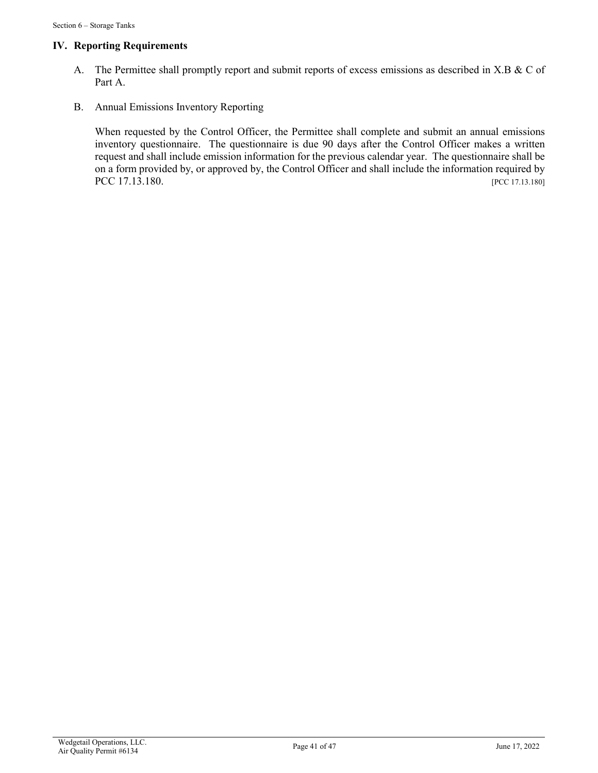## **IV. Reporting Requirements**

- A. The Permittee shall promptly report and submit reports of excess emissions as described in X.B & C of Part A.
- B. Annual Emissions Inventory Reporting

When requested by the Control Officer, the Permittee shall complete and submit an annual emissions inventory questionnaire. The questionnaire is due 90 days after the Control Officer makes a written request and shall include emission information for the previous calendar year. The questionnaire shall be on a form provided by, or approved by, the Control Officer and shall include the information required by PCC 17.13.180. [PCC 17.13.180]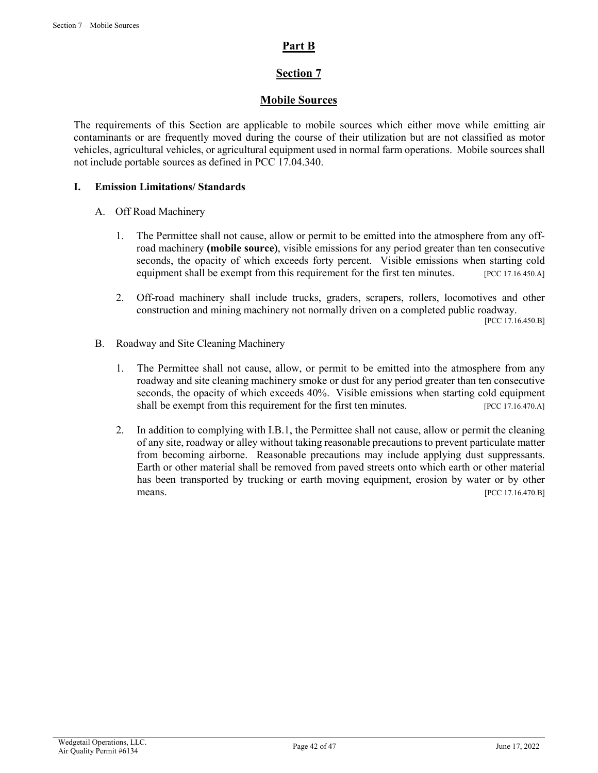# **Part B**

# **Section 7**

# **Mobile Sources**

The requirements of this Section are applicable to mobile sources which either move while emitting air contaminants or are frequently moved during the course of their utilization but are not classified as motor vehicles, agricultural vehicles, or agricultural equipment used in normal farm operations. Mobile sources shall not include portable sources as defined in PCC 17.04.340.

### **I. Emission Limitations/ Standards**

### A. Off Road Machinery

- 1. The Permittee shall not cause, allow or permit to be emitted into the atmosphere from any offroad machinery **(mobile source)**, visible emissions for any period greater than ten consecutive seconds, the opacity of which exceeds forty percent. Visible emissions when starting cold equipment shall be exempt from this requirement for the first ten minutes. [PCC 17.16.450.A]
- 2. Off-road machinery shall include trucks, graders, scrapers, rollers, locomotives and other construction and mining machinery not normally driven on a completed public roadway.

[PCC 17.16.450.B]

- B. Roadway and Site Cleaning Machinery
	- 1. The Permittee shall not cause, allow, or permit to be emitted into the atmosphere from any roadway and site cleaning machinery smoke or dust for any period greater than ten consecutive seconds, the opacity of which exceeds 40%. Visible emissions when starting cold equipment shall be exempt from this requirement for the first ten minutes. [PCC 17.16.470.A]
	- 2. In addition to complying with I.B.1, the Permittee shall not cause, allow or permit the cleaning of any site, roadway or alley without taking reasonable precautions to prevent particulate matter from becoming airborne. Reasonable precautions may include applying dust suppressants. Earth or other material shall be removed from paved streets onto which earth or other material has been transported by trucking or earth moving equipment, erosion by water or by other means. [PCC 17.16.470.B]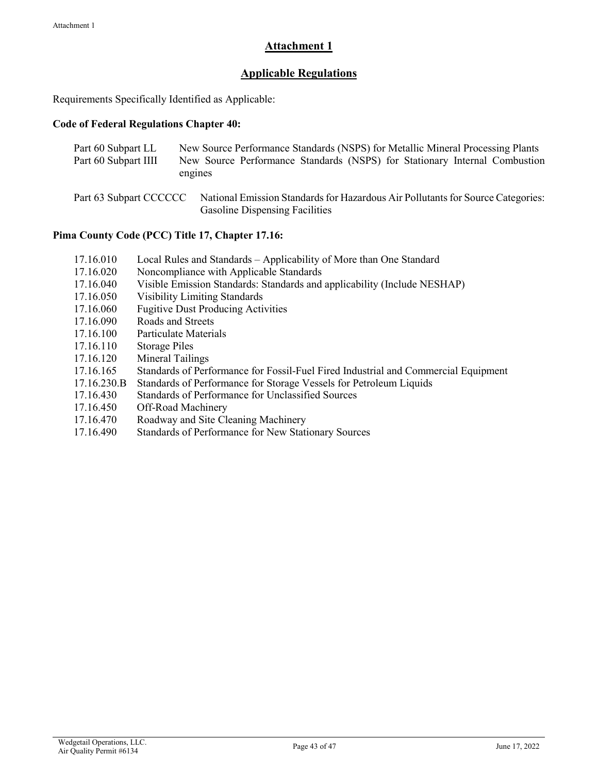# **Attachment 1**

# **Applicable Regulations**

Requirements Specifically Identified as Applicable:

### **Code of Federal Regulations Chapter 40:**

| Part 60 Subpart LL     | New Source Performance Standards (NSPS) for Metallic Mineral Processing Plants                                           |
|------------------------|--------------------------------------------------------------------------------------------------------------------------|
| Part 60 Subpart IIII   | New Source Performance Standards (NSPS) for Stationary Internal Combustion                                               |
|                        | engines                                                                                                                  |
| Part 63 Subpart CCCCCC | National Emission Standards for Hazardous Air Pollutants for Source Categories:<br><b>Gasoline Dispensing Facilities</b> |

# **Pima County Code (PCC) Title 17, Chapter 17.16:**

- 17.16.010 Local Rules and Standards Applicability of More than One Standard
- 17.16.020 Noncompliance with Applicable Standards
- 17.16.040 Visible Emission Standards: Standards and applicability (Include NESHAP)
- 17.16.050 Visibility Limiting Standards
- 17.16.060 Fugitive Dust Producing Activities
- 17.16.090 Roads and Streets
- 17.16.100 Particulate Materials
- 17.16.110 Storage Piles
- 17.16.120 Mineral Tailings
- 17.16.165 Standards of Performance for Fossil-Fuel Fired Industrial and Commercial Equipment
- 17.16.230.B Standards of Performance for Storage Vessels for Petroleum Liquids
- 17.16.430 Standards of Performance for Unclassified Sources
- 17.16.450 Off-Road Machinery
- 17.16.470 Roadway and Site Cleaning Machinery
- 17.16.490 Standards of Performance for New Stationary Sources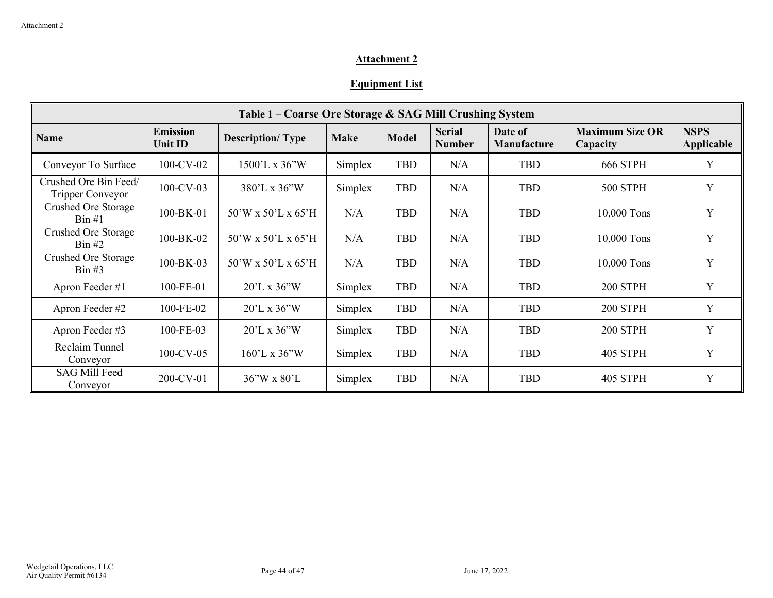# **Attachment 2**

# **Equipment List**

| Table 1 – Coarse Ore Storage & SAG Mill Crushing System |                            |                                  |             |              |                                |                        |                                    |                                  |  |  |
|---------------------------------------------------------|----------------------------|----------------------------------|-------------|--------------|--------------------------------|------------------------|------------------------------------|----------------------------------|--|--|
| <b>Name</b>                                             | <b>Emission</b><br>Unit ID | <b>Description/Type</b>          | <b>Make</b> | <b>Model</b> | <b>Serial</b><br><b>Number</b> | Date of<br>Manufacture | <b>Maximum Size OR</b><br>Capacity | <b>NSPS</b><br><b>Applicable</b> |  |  |
| Conveyor To Surface                                     | $100$ -CV-02               | 1500'L x 36"W                    | Simplex     | TBD          | N/A                            | <b>TBD</b>             | <b>666 STPH</b>                    | Y                                |  |  |
| Crushed Ore Bin Feed/<br>Tripper Conveyor               | $100$ -CV-03               | $380^{\circ}$ L x $36^{\circ}$ W | Simplex     | TBD          | N/A                            | <b>TBD</b>             | <b>500 STPH</b>                    | Y                                |  |  |
| Crushed Ore Storage<br>$\operatorname{Bin} \#1$         | 100-BK-01                  | 50'W x 50'L x 65'H               | N/A         | TBD          | N/A                            | <b>TBD</b>             | 10,000 Tons                        | $\mathbf Y$                      |  |  |
| Crushed Ore Storage<br>$\operatorname{Bin}$ #2          | 100-BK-02                  | $50'W \times 50'L \times 65'H$   | N/A         | TBD          | N/A                            | TBD                    | 10,000 Tons                        | Y                                |  |  |
| Crushed Ore Storage<br>$\operatorname{Bin}$ #3          | 100-BK-03                  | $50'W \times 50'L \times 65'H$   | N/A         | TBD          | N/A                            | TBD                    | 10,000 Tons                        | Y                                |  |  |
| Apron Feeder #1                                         | 100-FE-01                  | $20^{\circ}$ L x 36 $^{\circ}$ W | Simplex     | TBD          | N/A                            | TBD                    | 200 STPH                           | Y                                |  |  |
| Apron Feeder #2                                         | 100-FE-02                  | $20^{\circ}$ L x 36 $^{\circ}$ W | Simplex     | TBD          | N/A                            | <b>TBD</b>             | <b>200 STPH</b>                    | Y                                |  |  |
| Apron Feeder #3                                         | 100-FE-03                  | $20^{\circ}$ L x 36 $^{\circ}$ W | Simplex     | TBD          | N/A                            | <b>TBD</b>             | <b>200 STPH</b>                    | Y                                |  |  |
| Reclaim Tunnel<br>Conveyor                              | $100$ -CV-05               | $160'$ L x 36"W                  | Simplex     | TBD          | N/A                            | <b>TBD</b>             | <b>405 STPH</b>                    | Y                                |  |  |
| <b>SAG Mill Feed</b><br>Conveyor                        | 200-CV-01                  | $36''W \times 80'L$              | Simplex     | TBD          | N/A                            | TBD                    | <b>405 STPH</b>                    | Y                                |  |  |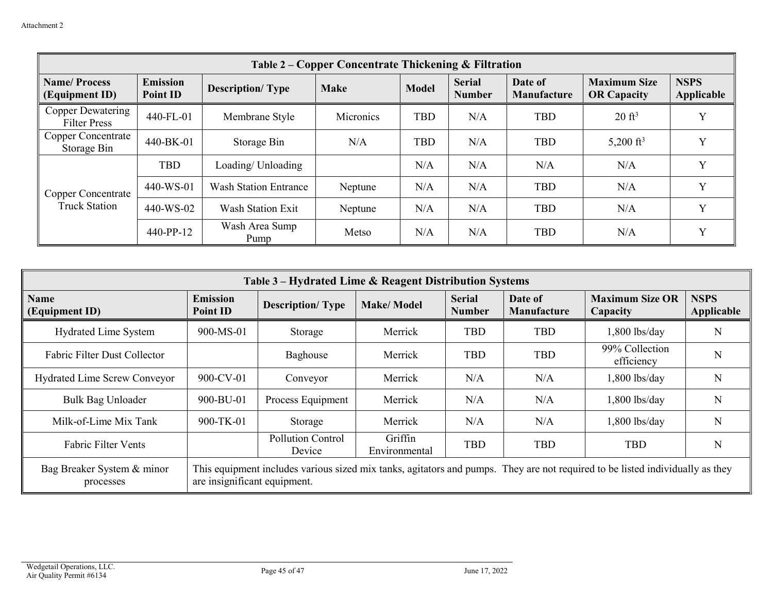| Table 2 – Copper Concentrate Thickening & Filtration |                                    |                              |             |              |                                |                               |                                           |                           |  |  |
|------------------------------------------------------|------------------------------------|------------------------------|-------------|--------------|--------------------------------|-------------------------------|-------------------------------------------|---------------------------|--|--|
| <b>Name/Process</b><br>(Equipment ID)                | <b>Emission</b><br><b>Point ID</b> | <b>Description/Type</b>      | <b>Make</b> | <b>Model</b> | <b>Serial</b><br><b>Number</b> | Date of<br><b>Manufacture</b> | <b>Maximum Size</b><br><b>OR Capacity</b> | <b>NSPS</b><br>Applicable |  |  |
| Copper Dewatering<br><b>Filter Press</b>             | 440-FL-01                          | Membrane Style               | Micronics   | <b>TBD</b>   | N/A                            | <b>TBD</b>                    | $20 \text{ ft}^3$                         | v                         |  |  |
| <b>Copper Concentrate</b><br>Storage Bin             | 440-BK-01                          | Storage Bin                  | N/A         | <b>TBD</b>   | N/A                            | <b>TBD</b>                    | 5,200 ft <sup>3</sup>                     | $\mathbf{v}$              |  |  |
| Copper Concentrate<br><b>Truck Station</b>           | <b>TBD</b>                         | Loading/Unloading            |             | N/A          | N/A                            | N/A                           | N/A                                       | $\mathbf{v}$              |  |  |
|                                                      | 440-WS-01                          | <b>Wash Station Entrance</b> | Neptune     | N/A          | N/A                            | <b>TBD</b>                    | N/A                                       | v                         |  |  |
|                                                      | 440-WS-02                          | Wash Station Exit            | Neptune     | N/A          | N/A                            | <b>TBD</b>                    | N/A                                       | v                         |  |  |
|                                                      | 440-PP-12                          | Wash Area Sump<br>Pump       | Metso       | N/A          | N/A                            | <b>TBD</b>                    | N/A                                       | $\mathbf{v}$              |  |  |

| Table 3 – Hydrated Lime & Reagent Distribution Systems                                                                                                                                                   |                             |                                    |                          |                                |                               |                                    |                           |  |  |  |
|----------------------------------------------------------------------------------------------------------------------------------------------------------------------------------------------------------|-----------------------------|------------------------------------|--------------------------|--------------------------------|-------------------------------|------------------------------------|---------------------------|--|--|--|
| <b>Name</b><br>(Equipment ID)                                                                                                                                                                            | <b>Emission</b><br>Point ID | <b>Description/Type</b>            | <b>Make/Model</b>        | <b>Serial</b><br><b>Number</b> | Date of<br><b>Manufacture</b> | <b>Maximum Size OR</b><br>Capacity | <b>NSPS</b><br>Applicable |  |  |  |
| <b>Hydrated Lime System</b>                                                                                                                                                                              | 900-MS-01                   | Storage                            | Merrick                  | <b>TBD</b>                     | <b>TBD</b>                    | $1,800$ lbs/day                    | N                         |  |  |  |
| Fabric Filter Dust Collector                                                                                                                                                                             |                             | Baghouse                           | Merrick                  | <b>TBD</b>                     | <b>TBD</b>                    | 99% Collection<br>efficiency       | N                         |  |  |  |
| Hydrated Lime Screw Conveyor                                                                                                                                                                             | 900-CV-01                   | Conveyor                           | Merrick                  | N/A                            | N/A                           | $1,800$ lbs/day                    | N                         |  |  |  |
| Bulk Bag Unloader                                                                                                                                                                                        | 900-BU-01                   | Process Equipment                  | Merrick                  | N/A                            | N/A                           | $1,800$ lbs/day                    | N                         |  |  |  |
| Milk-of-Lime Mix Tank                                                                                                                                                                                    | 900-TK-01                   | Storage                            | Merrick                  | N/A                            | N/A                           | $1,800$ lbs/day                    | N                         |  |  |  |
| <b>Fabric Filter Vents</b>                                                                                                                                                                               |                             | <b>Pollution Control</b><br>Device | Griffin<br>Environmental | <b>TBD</b>                     | <b>TBD</b>                    | <b>TBD</b>                         | N                         |  |  |  |
| This equipment includes various sized mix tanks, agitators and pumps. They are not required to be listed individually as they<br>Bag Breaker System & minor<br>are insignificant equipment.<br>processes |                             |                                    |                          |                                |                               |                                    |                           |  |  |  |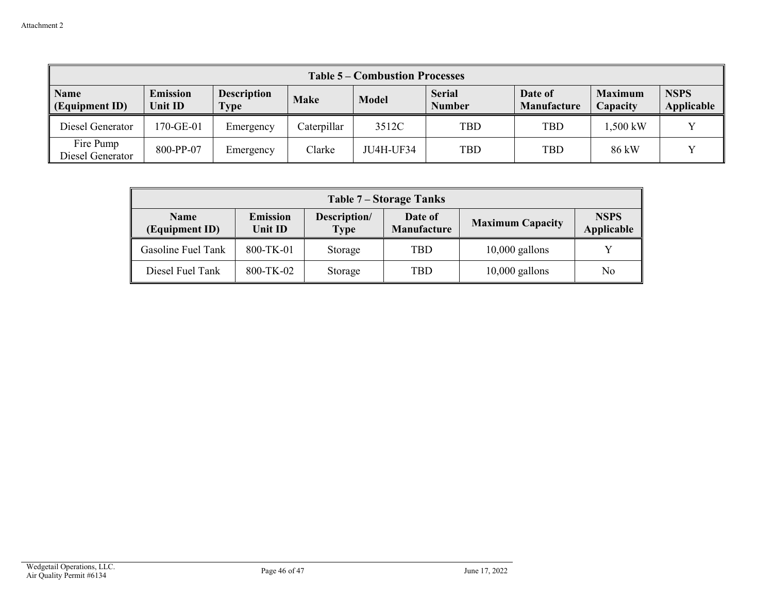| <b>Table 5 – Combustion Processes</b> |                            |                            |             |              |                                |                        |                            |                           |  |  |
|---------------------------------------|----------------------------|----------------------------|-------------|--------------|--------------------------------|------------------------|----------------------------|---------------------------|--|--|
| <b>Name</b><br>(Equipment ID)         | <b>Emission</b><br>Unit ID | <b>Description</b><br>Type | <b>Make</b> | <b>Model</b> | <b>Serial</b><br><b>Number</b> | Date of<br>Manufacture | <b>Maximum</b><br>Capacity | <b>NSPS</b><br>Applicable |  |  |
| Diesel Generator                      | 170-GE-01                  | Emergency                  | Caterpillar | 3512C        | <b>TBD</b>                     | <b>TBD</b>             | .500 kW                    |                           |  |  |
| Fire Pump<br>Diesel Generator         | 800-PP-07                  | Emergency                  | Clarke      | JU4H-UF34    | TBD                            | <b>TBD</b>             | 86 kW                      |                           |  |  |

| Table 7 – Storage Tanks                                     |           |                             |                               |                         |                           |  |  |  |  |
|-------------------------------------------------------------|-----------|-----------------------------|-------------------------------|-------------------------|---------------------------|--|--|--|--|
| <b>Emission</b><br><b>Name</b><br>(Equipment ID)<br>Unit ID |           | Description/<br><b>Type</b> | Date of<br><b>Manufacture</b> | <b>Maximum Capacity</b> | <b>NSPS</b><br>Applicable |  |  |  |  |
| Gasoline Fuel Tank                                          | 800-TK-01 | Storage                     | <b>TBD</b>                    | $10,000$ gallons        | v                         |  |  |  |  |
| Diesel Fuel Tank                                            | 800-TK-02 | Storage                     | <b>TBD</b>                    | $10,000$ gallons        | No                        |  |  |  |  |